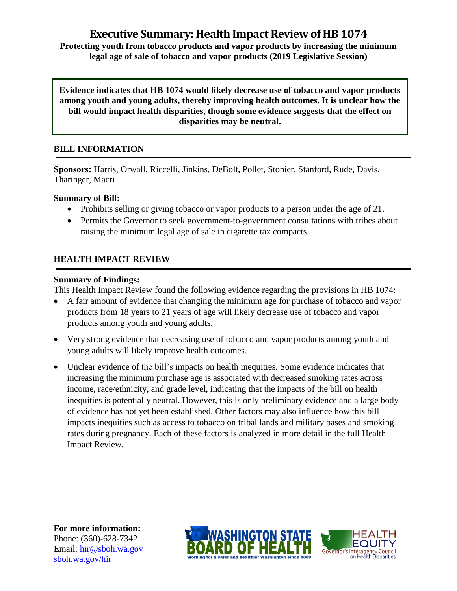# **Executive Summary: Health Impact Review of HB 1074**

**Protecting youth from tobacco products and vapor products by increasing the minimum legal age of sale of tobacco and vapor products (2019 Legislative Session)**

**Evidence indicates that HB 1074 would likely decrease use of tobacco and vapor products among youth and young adults, thereby improving health outcomes. It is unclear how the bill would impact health disparities, though some evidence suggests that the effect on disparities may be neutral.**

# **BILL INFORMATION**

**Sponsors:** Harris, Orwall, Riccelli, Jinkins, DeBolt, Pollet, Stonier, Stanford, Rude, Davis, Tharinger, Macri

#### **Summary of Bill:**

- Prohibits selling or giving tobacco or vapor products to a person under the age of 21.
- Permits the Governor to seek government-to-government consultations with tribes about raising the minimum legal age of sale in cigarette tax compacts.

# **HEALTH IMPACT REVIEW**

#### **Summary of Findings:**

This Health Impact Review found the following evidence regarding the provisions in HB 1074:

- A fair amount of evidence that changing the minimum age for purchase of tobacco and vapor products from 18 years to 21 years of age will likely decrease use of tobacco and vapor products among youth and young adults.
- Very strong evidence that decreasing use of tobacco and vapor products among youth and young adults will likely improve health outcomes.
- Unclear evidence of the bill's impacts on health inequities. Some evidence indicates that increasing the minimum purchase age is associated with decreased smoking rates across income, race/ethnicity, and grade level, indicating that the impacts of the bill on health inequities is potentially neutral. However, this is only preliminary evidence and a large body of evidence has not yet been established. Other factors may also influence how this bill impacts inequities such as access to tobacco on tribal lands and military bases and smoking rates during pregnancy. Each of these factors is analyzed in more detail in the full Health Impact Review.

**For more information:** Phone: (360)-628-7342 Email: [hir@sboh.wa.gov](mailto:hir@sboh.wa.gov) [sboh.wa.gov/](http://sboh.wa.gov/)hir



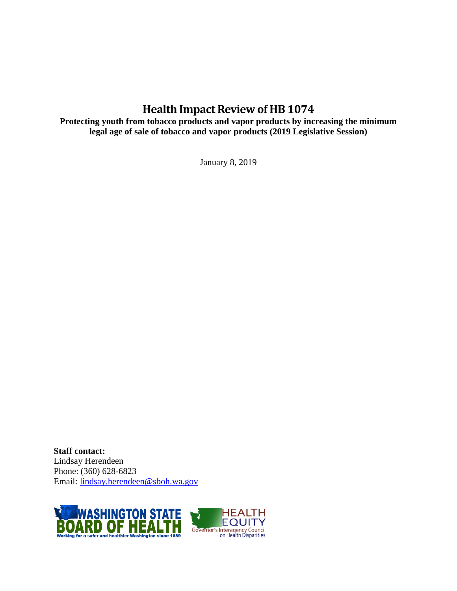# **Health Impact Review of HB 1074**

**Protecting youth from tobacco products and vapor products by increasing the minimum legal age of sale of tobacco and vapor products (2019 Legislative Session)**

January 8, 2019

**Staff contact:** Lindsay Herendeen Phone: (360) 628-6823 Email: [lindsay.herendeen@sboh.wa.gov](mailto:lindsay.herendeen@sboh.wa.gov)

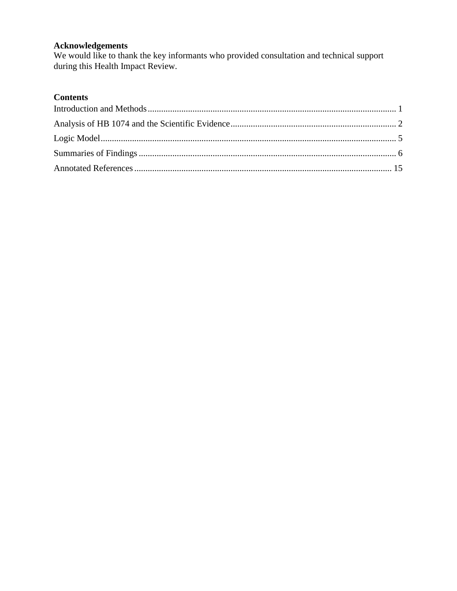# **Acknowledgements**

We would like to thank the key informants who provided consultation and technical support during this Health Impact Review.

# **Contents**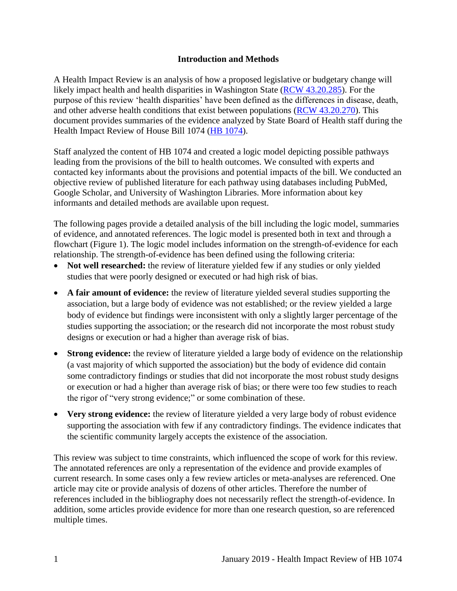#### **Introduction and Methods**

<span id="page-3-0"></span>A Health Impact Review is an analysis of how a proposed legislative or budgetary change will likely impact health and health disparities in Washington State [\(RCW 43.20.285\)](http://apps.leg.wa.gov/rcw/default.aspx?cite=43.20.285). For the purpose of this review 'health disparities' have been defined as the differences in disease, death, and other adverse health conditions that exist between populations [\(RCW 43.20.270\)](http://apps.leg.wa.gov/rcw/default.aspx?cite=43.20.270). This document provides summaries of the evidence analyzed by State Board of Health staff during the Health Impact Review of House Bill 1074 [\(HB 1074\)](https://app.leg.wa.gov/billsummary?BillNumber=1074&Chamber=House&Year=2019).

Staff analyzed the content of HB 1074 and created a logic model depicting possible pathways leading from the provisions of the bill to health outcomes. We consulted with experts and contacted key informants about the provisions and potential impacts of the bill. We conducted an objective review of published literature for each pathway using databases including PubMed, Google Scholar, and University of Washington Libraries. More information about key informants and detailed methods are available upon request.

The following pages provide a detailed analysis of the bill including the logic model, summaries of evidence, and annotated references. The logic model is presented both in text and through a flowchart (Figure 1). The logic model includes information on the strength-of-evidence for each relationship. The strength-of-evidence has been defined using the following criteria:

- Not well researched: the review of literature yielded few if any studies or only yielded studies that were poorly designed or executed or had high risk of bias.
- **A fair amount of evidence:** the review of literature yielded several studies supporting the association, but a large body of evidence was not established; or the review yielded a large body of evidence but findings were inconsistent with only a slightly larger percentage of the studies supporting the association; or the research did not incorporate the most robust study designs or execution or had a higher than average risk of bias.
- **Strong evidence:** the review of literature yielded a large body of evidence on the relationship (a vast majority of which supported the association) but the body of evidence did contain some contradictory findings or studies that did not incorporate the most robust study designs or execution or had a higher than average risk of bias; or there were too few studies to reach the rigor of "very strong evidence;" or some combination of these.
- Very strong evidence: the review of literature yielded a very large body of robust evidence supporting the association with few if any contradictory findings. The evidence indicates that the scientific community largely accepts the existence of the association.

This review was subject to time constraints, which influenced the scope of work for this review. The annotated references are only a representation of the evidence and provide examples of current research. In some cases only a few review articles or meta-analyses are referenced. One article may cite or provide analysis of dozens of other articles. Therefore the number of references included in the bibliography does not necessarily reflect the strength-of-evidence. In addition, some articles provide evidence for more than one research question, so are referenced multiple times.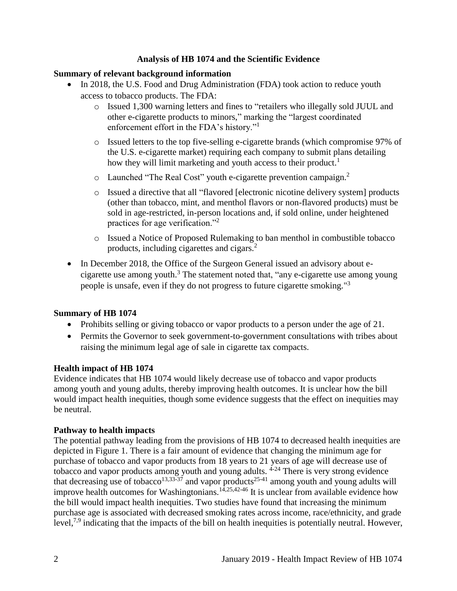## **Analysis of HB 1074 and the Scientific Evidence**

#### <span id="page-4-0"></span>**Summary of relevant background information**

- In 2018, the U.S. Food and Drug Administration (FDA) took action to reduce youth access to tobacco products. The FDA:
	- o Issued 1,300 warning letters and fines to "retailers who illegally sold JUUL and other e-cigarette products to minors," marking the "largest coordinated enforcement effort in the FDA's history."<sup>1</sup>
	- o Issued letters to the top five-selling e-cigarette brands (which compromise 97% of the U.S. e-cigarette market) requiring each company to submit plans detailing how they will limit marketing and youth access to their product.<sup>1</sup>
	- $\circ$  Launched "The Real Cost" youth e-cigarette prevention campaign.<sup>2</sup>
	- o Issued a directive that all "flavored [electronic nicotine delivery system] products (other than tobacco, mint, and menthol flavors or non-flavored products) must be sold in age-restricted, in-person locations and, if sold online, under heightened practices for age verification."<sup>2</sup>
	- o Issued a Notice of Proposed Rulemaking to ban menthol in combustible tobacco products, including cigarettes and cigars.<sup>2</sup>
- In December 2018, the Office of the Surgeon General issued an advisory about ecigarette use among youth. $3$  The statement noted that, "any e-cigarette use among young people is unsafe, even if they do not progress to future cigarette smoking."<sup>3</sup>

#### **Summary of HB 1074**

- Prohibits selling or giving tobacco or vapor products to a person under the age of 21.
- Permits the Governor to seek government-to-government consultations with tribes about raising the minimum legal age of sale in cigarette tax compacts.

#### **Health impact of HB 1074**

Evidence indicates that HB 1074 would likely decrease use of tobacco and vapor products among youth and young adults, thereby improving health outcomes. It is unclear how the bill would impact health inequities, though some evidence suggests that the effect on inequities may be neutral.

#### **Pathway to health impacts**

The potential pathway leading from the provisions of HB 1074 to decreased health inequities are depicted in Figure 1. There is a fair amount of evidence that changing the minimum age for purchase of tobacco and vapor products from 18 years to 21 years of age will decrease use of tobacco and vapor products among youth and young adults. <sup>4-24</sup> There is very strong evidence that decreasing use of tobacco<sup>[13,](#page-23-0)[33-37](#page-35-0)</sup> and vapor products<sup>25-41</sup> among youth and young adults will improve health outcomes for Washingtonians.<sup>[14,](#page-24-0)[25,](#page-31-0)[42-46](#page-38-0)</sup> It is unclear from available evidence how the bill would impact health inequities. Two studies have found that increasing the minimum purchase age is associated with decreased smoking rates across income, race/ethnicity, and grade level,<sup>[7,](#page-20-0)[9](#page-21-0)</sup> indicating that the impacts of the bill on health inequities is potentially neutral. However,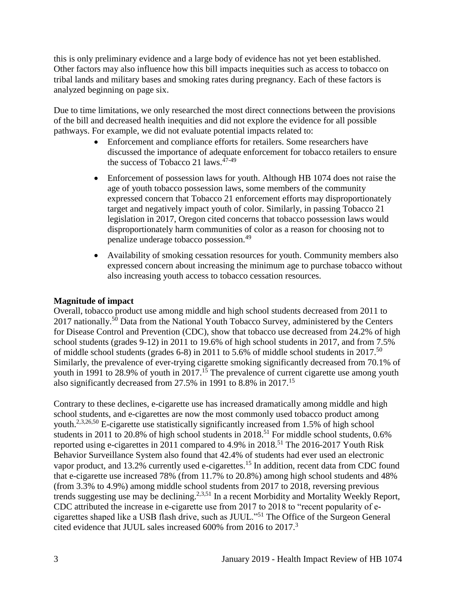this is only preliminary evidence and a large body of evidence has not yet been established. Other factors may also influence how this bill impacts inequities such as access to tobacco on tribal lands and military bases and smoking rates during pregnancy. Each of these factors is analyzed beginning on page six.

Due to time limitations, we only researched the most direct connections between the provisions of the bill and decreased health inequities and did not explore the evidence for all possible pathways. For example, we did not evaluate potential impacts related to:

- Enforcement and compliance efforts for retailers. Some researchers have discussed the importance of adequate enforcement for tobacco retailers to ensure the success of Tobacco 21 laws.<sup>47-49</sup>
- Enforcement of possession laws for youth. Although HB 1074 does not raise the age of youth tobacco possession laws, some members of the community expressed concern that Tobacco 21 enforcement efforts may disproportionately target and negatively impact youth of color. Similarly, in passing Tobacco 21 legislation in 2017, Oregon cited concerns that tobacco possession laws would disproportionately harm communities of color as a reason for choosing not to penalize underage tobacco possession.<sup>49</sup>
- Availability of smoking cessation resources for youth. Community members also expressed concern about increasing the minimum age to purchase tobacco without also increasing youth access to tobacco cessation resources.

## **Magnitude of impact**

Overall, tobacco product use among middle and high school students decreased from 2011 to 2017 nationally.<sup>50</sup> Data from the National Youth Tobacco Survey, administered by the Centers for Disease Control and Prevention (CDC), show that tobacco use decreased from 24.2% of high school students (grades 9-12) in 2011 to 19.6% of high school students in 2017, and from 7.5% of middle school students (grades 6-8) in 2011 to 5.6% of middle school students in 2017.<sup>50</sup> Similarly, the prevalence of ever-trying cigarette smoking significantly decreased from 70.1% of youth in 1991 to 28.9% of youth in 2017.<sup>15</sup> The prevalence of current cigarette use among youth also significantly decreased from 27.5% in 1991 to 8.8% in 2017.<sup>15</sup>

Contrary to these declines, e-cigarette use has increased dramatically among middle and high school students, and e-cigarettes are now the most commonly used tobacco product among youth.<sup>[2,](#page-17-1)[3,](#page-18-0)[26,](#page-31-1)[50](#page-41-0)</sup> E-cigarette use statistically significantly increased from 1.5% of high school students in 2011 to 20.8% of high school students in 2018.<sup>51</sup> For middle school students, 0.6% reported using e-cigarettes in 2011 compared to 4.9% in 2018.<sup>51</sup> The 2016-2017 Youth Risk Behavior Surveillance System also found that 42.4% of students had ever used an electronic vapor product, and 13.2% currently used e-cigarettes.<sup>15</sup> In addition, recent data from CDC found that e-cigarette use increased 78% (from 11.7% to 20.8%) among high school students and 48% (from 3.3% to 4.9%) among middle school students from 2017 to 2018, reversing previous trends suggesting use may be declining.<sup>[2,](#page-17-1)[3,](#page-18-0)[51](#page-42-0)</sup> In a recent Morbidity and Mortality Weekly Report, CDC attributed the increase in e-cigarette use from 2017 to 2018 to "recent popularity of ecigarettes shaped like a USB flash drive, such as JUUL."<sup>51</sup> The Office of the Surgeon General cited evidence that JUUL sales increased 600% from 2016 to 2017.<sup>3</sup>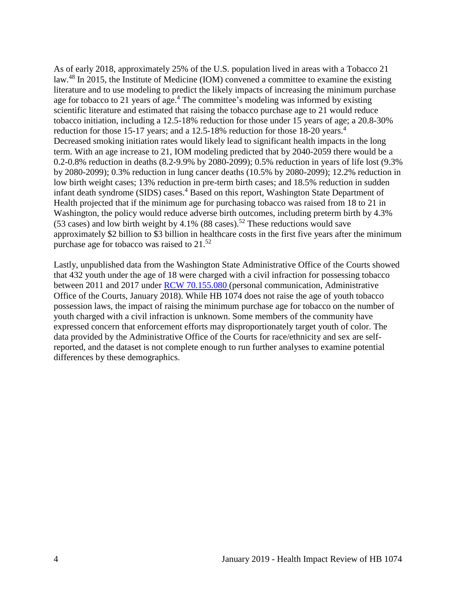As of early 2018, approximately 25% of the U.S. population lived in areas with a Tobacco 21 law.<sup>48</sup> In 2015, the Institute of Medicine (IOM) convened a committee to examine the existing literature and to use modeling to predict the likely impacts of increasing the minimum purchase age for tobacco to 21 years of age.<sup>4</sup> The committee's modeling was informed by existing scientific literature and estimated that raising the tobacco purchase age to 21 would reduce tobacco initiation, including a 12.5-18% reduction for those under 15 years of age; a 20.8-30% reduction for those 15-17 years; and a 12.5-18% reduction for those 18-20 years.<sup>4</sup> Decreased smoking initiation rates would likely lead to significant health impacts in the long term. With an age increase to 21, IOM modeling predicted that by 2040-2059 there would be a 0.2-0.8% reduction in deaths (8.2-9.9% by 2080-2099); 0.5% reduction in years of life lost (9.3% by 2080-2099); 0.3% reduction in lung cancer deaths (10.5% by 2080-2099); 12.2% reduction in low birth weight cases; 13% reduction in pre-term birth cases; and 18.5% reduction in sudden infant death syndrome (SIDS) cases.<sup>4</sup> Based on this report, Washington State Department of Health projected that if the minimum age for purchasing tobacco was raised from 18 to 21 in Washington, the policy would reduce adverse birth outcomes, including preterm birth by 4.3% (53 cases) and low birth weight by 4.1% (88 cases).<sup>52</sup> These reductions would save approximately \$2 billion to \$3 billion in healthcare costs in the first five years after the minimum purchase age for tobacco was raised to 21.<sup>52</sup>

Lastly, unpublished data from the Washington State Administrative Office of the Courts showed that 432 youth under the age of 18 were charged with a civil infraction for possessing tobacco between 2011 and 2017 under [RCW 70.155.080](https://app.leg.wa.gov/rcw/default.aspx?cite=70.155.080) (personal communication, Administrative Office of the Courts, January 2018). While HB 1074 does not raise the age of youth tobacco possession laws, the impact of raising the minimum purchase age for tobacco on the number of youth charged with a civil infraction is unknown. Some members of the community have expressed concern that enforcement efforts may disproportionately target youth of color. The data provided by the Administrative Office of the Courts for race/ethnicity and sex are selfreported, and the dataset is not complete enough to run further analyses to examine potential differences by these demographics.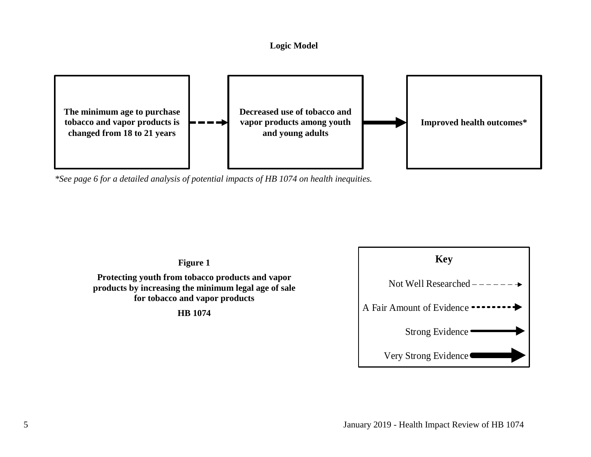#### **Logic Model**



<span id="page-7-0"></span>*\*See page 6 for a detailed analysis of potential impacts of HB 1074 on health inequities.*

**Figure 1**

**Protecting youth from tobacco products and vapor products by increasing the minimum legal age of sale for tobacco and vapor products**

**HB 1074**

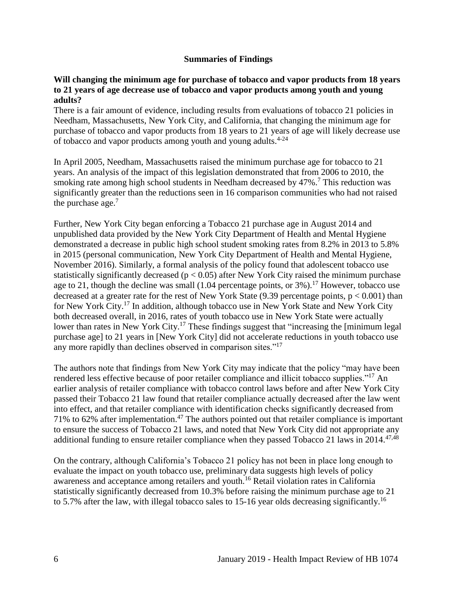#### **Summaries of Findings**

#### <span id="page-8-0"></span>**Will changing the minimum age for purchase of tobacco and vapor products from 18 years to 21 years of age decrease use of tobacco and vapor products among youth and young adults?**

There is a fair amount of evidence, including results from evaluations of tobacco 21 policies in Needham, Massachusetts, New York City, and California, that changing the minimum age for purchase of tobacco and vapor products from 18 years to 21 years of age will likely decrease use of tobacco and vapor products among youth and young adults.4-24

In April 2005, Needham, Massachusetts raised the minimum purchase age for tobacco to 21 years. An analysis of the impact of this legislation demonstrated that from 2006 to 2010, the smoking rate among high school students in Needham decreased by 47%.<sup>7</sup> This reduction was significantly greater than the reductions seen in 16 comparison communities who had not raised the purchase age. $<sup>7</sup>$ </sup>

Further, New York City began enforcing a Tobacco 21 purchase age in August 2014 and unpublished data provided by the New York City Department of Health and Mental Hygiene demonstrated a decrease in public high school student smoking rates from 8.2% in 2013 to 5.8% in 2015 (personal communication, New York City Department of Health and Mental Hygiene, November 2016). Similarly, a formal analysis of the policy found that adolescent tobacco use statistically significantly decreased ( $p < 0.05$ ) after New York City raised the minimum purchase age to 21, though the decline was small  $(1.04$  percentage points, or  $3\%$ ).<sup>17</sup> However, tobacco use decreased at a greater rate for the rest of New York State (9.39 percentage points,  $p < 0.001$ ) than for New York City.<sup>17</sup> In addition, although tobacco use in New York State and New York City both decreased overall, in 2016, rates of youth tobacco use in New York State were actually lower than rates in New York City.<sup>17</sup> These findings suggest that "increasing the [minimum legal] purchase age] to 21 years in [New York City] did not accelerate reductions in youth tobacco use any more rapidly than declines observed in comparison sites."<sup>17</sup>

The authors note that findings from New York City may indicate that the policy "may have been rendered less effective because of poor retailer compliance and illicit tobacco supplies."<sup>17</sup> An earlier analysis of retailer compliance with tobacco control laws before and after New York City passed their Tobacco 21 law found that retailer compliance actually decreased after the law went into effect, and that retailer compliance with identification checks significantly decreased from 71% to 62% after implementation. <sup>47</sup> The authors pointed out that retailer compliance is important to ensure the success of Tobacco 21 laws, and noted that New York City did not appropriate any additional funding to ensure retailer compliance when they passed Tobacco 21 laws in  $2014$ .<sup>[47,](#page-40-0)[48](#page-40-1)</sup>

On the contrary, although California's Tobacco 21 policy has not been in place long enough to evaluate the impact on youth tobacco use, preliminary data suggests high levels of policy awareness and acceptance among retailers and youth.<sup>16</sup> Retail violation rates in California statistically significantly decreased from 10.3% before raising the minimum purchase age to 21 to 5.7% after the law, with illegal tobacco sales to 15-16 year olds decreasing significantly.<sup>16</sup>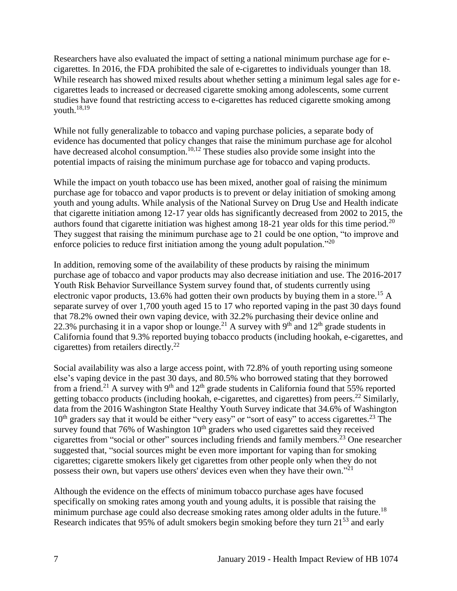Researchers have also evaluated the impact of setting a national minimum purchase age for ecigarettes. In 2016, the FDA prohibited the sale of e-cigarettes to individuals younger than 18. While research has showed mixed results about whether setting a minimum legal sales age for ecigarettes leads to increased or decreased cigarette smoking among adolescents, some current studies have found that restricting access to e-cigarettes has reduced cigarette smoking among youth.[18,](#page-27-0)[19](#page-28-0)

While not fully generalizable to tobacco and vaping purchase policies, a separate body of evidence has documented that policy changes that raise the minimum purchase age for alcohol have decreased alcohol consumption.<sup>[10,](#page-21-1)[12](#page-23-1)</sup> These studies also provide some insight into the potential impacts of raising the minimum purchase age for tobacco and vaping products.

While the impact on youth tobacco use has been mixed, another goal of raising the minimum purchase age for tobacco and vapor products is to prevent or delay initiation of smoking among youth and young adults. While analysis of the National Survey on Drug Use and Health indicate that cigarette initiation among 12-17 year olds has significantly decreased from 2002 to 2015, the authors found that cigarette initiation was highest among  $18-21$  year olds for this time period.<sup>20</sup> They suggest that raising the minimum purchase age to 21 could be one option, "to improve and enforce policies to reduce first initiation among the young adult population."<sup>20</sup>

In addition, removing some of the availability of these products by raising the minimum purchase age of tobacco and vapor products may also decrease initiation and use. The 2016-2017 Youth Risk Behavior Surveillance System survey found that, of students currently using electronic vapor products, 13.6% had gotten their own products by buying them in a store.<sup>15</sup> A separate survey of over 1,700 youth aged 15 to 17 who reported vaping in the past 30 days found that 78.2% owned their own vaping device, with 32.2% purchasing their device online and 22.3% purchasing it in a vapor shop or lounge.<sup>21</sup> A survey with 9<sup>th</sup> and 12<sup>th</sup> grade students in California found that 9.3% reported buying tobacco products (including hookah, e-cigarettes, and cigarettes) from retailers directly.<sup>22</sup>

Social availability was also a large access point, with 72.8% of youth reporting using someone else's vaping device in the past 30 days, and 80.5% who borrowed stating that they borrowed from a friend.<sup>21</sup> A survey with 9<sup>th</sup> and  $12<sup>th</sup>$  grade students in California found that 55% reported getting tobacco products (including hookah, e-cigarettes, and cigarettes) from peers.<sup>22</sup> Similarly, data from the 2016 Washington State Healthy Youth Survey indicate that 34.6% of Washington  $10<sup>th</sup>$  graders say that it would be either "very easy" or "sort of easy" to access cigarettes.<sup>23</sup> The survey found that 76% of Washington  $10<sup>th</sup>$  graders who used cigarettes said they received cigarettes from "social or other" sources including friends and family members.<sup>23</sup> One researcher suggested that, "social sources might be even more important for vaping than for smoking cigarettes; cigarette smokers likely get cigarettes from other people only when they do not possess their own, but vapers use others' devices even when they have their own."<sup>21</sup>

Although the evidence on the effects of minimum tobacco purchase ages have focused specifically on smoking rates among youth and young adults, it is possible that raising the minimum purchase age could also decrease smoking rates among older adults in the future.<sup>18</sup> Research indicates that 95% of adult smokers begin smoking before they turn 21<sup>53</sup> and early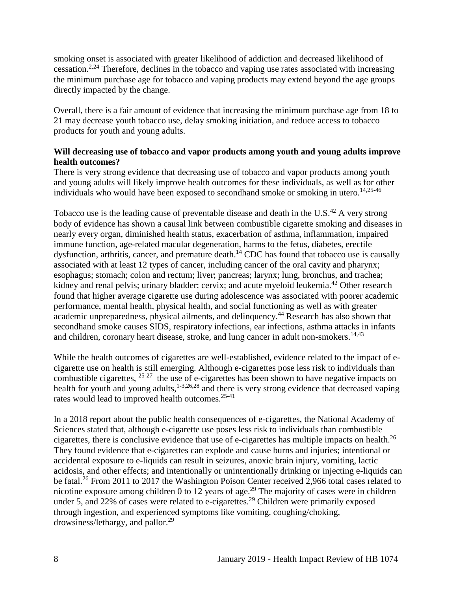smoking onset is associated with greater likelihood of addiction and decreased likelihood of cessation.<sup>[2](#page-17-1)[,24](#page-30-0)</sup> Therefore, declines in the tobacco and vaping use rates associated with increasing the minimum purchase age for tobacco and vaping products may extend beyond the age groups directly impacted by the change.

Overall, there is a fair amount of evidence that increasing the minimum purchase age from 18 to 21 may decrease youth tobacco use, delay smoking initiation, and reduce access to tobacco products for youth and young adults.

## **Will decreasing use of tobacco and vapor products among youth and young adults improve health outcomes?**

There is very strong evidence that decreasing use of tobacco and vapor products among youth and young adults will likely improve health outcomes for these individuals, as well as for other individuals who would have been exposed to secondhand smoke or smoking in utero. [14,](#page-24-0)[25-46](#page-31-0)

Tobacco use is the leading cause of preventable disease and death in the U.S. $^{42}$  A very strong body of evidence has shown a causal link between combustible cigarette smoking and diseases in nearly every organ, diminished health status, exacerbation of asthma, inflammation, impaired immune function, age-related macular degeneration, harms to the fetus, diabetes, erectile dysfunction, arthritis, cancer, and premature death.<sup>14</sup> CDC has found that tobacco use is causally associated with at least 12 types of cancer, including cancer of the oral cavity and pharynx; esophagus; stomach; colon and rectum; liver; pancreas; larynx; lung, bronchus, and trachea; kidney and renal pelvis; urinary bladder; cervix; and acute myeloid leukemia.<sup>42</sup> Other research found that higher average cigarette use during adolescence was associated with poorer academic performance, mental health, physical health, and social functioning as well as with greater academic unpreparedness, physical ailments, and delinquency.<sup>44</sup> Research has also shown that secondhand smoke causes SIDS, respiratory infections, ear infections, asthma attacks in infants and children, coronary heart disease, stroke, and lung cancer in adult non-smokers.<sup>[14,](#page-24-0)[43](#page-38-1)</sup>

While the health outcomes of cigarettes are well-established, evidence related to the impact of ecigarette use on health is still emerging. Although e-cigarettes pose less risk to individuals than combustible cigarettes,  $25-27$  the use of e-cigarettes has been shown to have negative impacts on health for youth and young adults,  $1-3,26,28$  $1-3,26,28$  $1-3,26,28$  and there is very strong evidence that decreased vaping rates would lead to improved health outcomes.25-41

In a 2018 report about the public health consequences of e-cigarettes, the National Academy of Sciences stated that, although e-cigarette use poses less risk to individuals than combustible cigarettes, there is conclusive evidence that use of e-cigarettes has multiple impacts on health.<sup>26</sup> They found evidence that e-cigarettes can explode and cause burns and injuries; intentional or accidental exposure to e-liquids can result in seizures, anoxic brain injury, vomiting, lactic acidosis, and other effects; and intentionally or unintentionally drinking or injecting e-liquids can be fatal.<sup>26</sup> From 2011 to 2017 the Washington Poison Center received 2,966 total cases related to nicotine exposure among children 0 to 12 years of age.<sup>29</sup> The majority of cases were in children under 5, and 22% of cases were related to e-cigarettes.<sup>29</sup> Children were primarily exposed through ingestion, and experienced symptoms like vomiting, coughing/choking, drowsiness/lethargy, and pallor.<sup>29</sup>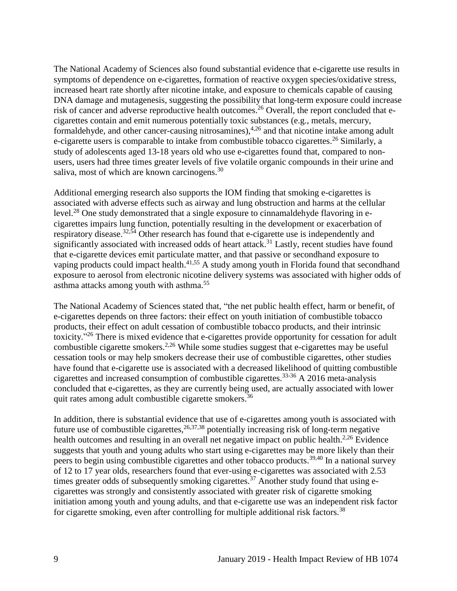The National Academy of Sciences also found substantial evidence that e-cigarette use results in symptoms of dependence on e-cigarettes, formation of reactive oxygen species/oxidative stress, increased heart rate shortly after nicotine intake, and exposure to chemicals capable of causing DNA damage and mutagenesis, suggesting the possibility that long-term exposure could increase risk of cancer and adverse reproductive health outcomes.<sup>26</sup> Overall, the report concluded that ecigarettes contain and emit numerous potentially toxic substances (e.g., metals, mercury, formaldehyde, and other cancer-causing nitrosamines),<sup>[4,](#page-18-1)[26](#page-31-1)</sup> and that nicotine intake among adult e-cigarette users is comparable to intake from combustible tobacco cigarettes.<sup>26</sup> Similarly, a study of adolescents aged 13-18 years old who use e-cigarettes found that, compared to nonusers, users had three times greater levels of five volatile organic compounds in their urine and saliva, most of which are known carcinogens.<sup>30</sup>

Additional emerging research also supports the IOM finding that smoking e-cigarettes is associated with adverse effects such as airway and lung obstruction and harms at the cellular level.<sup>28</sup> One study demonstrated that a single exposure to cinnamaldehyde flavoring in ecigarettes impairs lung function, potentially resulting in the development or exacerbation of respiratory disease.<sup>[32,](#page-34-0)[54](#page-42-1)</sup> Other research has found that e-cigarette use is independently and significantly associated with increased odds of heart attack.<sup>31</sup> Lastly, recent studies have found that e-cigarette devices emit particulate matter, and that passive or secondhand exposure to vaping products could impact health.<sup>[41,](#page-38-2)[55](#page-43-0)</sup> A study among youth in Florida found that secondhand exposure to aerosol from electronic nicotine delivery systems was associated with higher odds of asthma attacks among youth with asthma.<sup>55</sup>

The National Academy of Sciences stated that, "the net public health effect, harm or benefit, of e-cigarettes depends on three factors: their effect on youth initiation of combustible tobacco products, their effect on adult cessation of combustible tobacco products, and their intrinsic toxicity."<sup>26</sup> There is mixed evidence that e-cigarettes provide opportunity for cessation for adult combustible cigarette smokers.<sup>[2](#page-17-1)[,26](#page-31-1)</sup> While some studies suggest that e-cigarettes may be useful cessation tools or may help smokers decrease their use of combustible cigarettes, other studies have found that e-cigarette use is associated with a decreased likelihood of quitting combustible cigarettes and increased consumption of combustible cigarettes.33-36 A 2016 meta-analysis concluded that e-cigarettes, as they are currently being used, are actually associated with lower quit rates among adult combustible cigarette smokers.<sup>36</sup>

In addition, there is substantial evidence that use of e-cigarettes among youth is associated with future use of combustible cigarettes,  $26,37,38$  $26,37,38$  $26,37,38$  potentially increasing risk of long-term negative health outcomes and resulting in an overall net negative impact on public health. $2.26$  $2.26$  Evidence suggests that youth and young adults who start using e-cigarettes may be more likely than their peers to begin using combustible cigarettes and other tobacco products.<sup>[39,](#page-37-1)[40](#page-38-3)</sup> In a national survey of 12 to 17 year olds, researchers found that ever-using e-cigarettes was associated with 2.53 times greater odds of subsequently smoking cigarettes.<sup>37</sup> Another study found that using ecigarettes was strongly and consistently associated with greater risk of cigarette smoking initiation among youth and young adults, and that e-cigarette use was an independent risk factor for cigarette smoking, even after controlling for multiple additional risk factors.<sup>38</sup>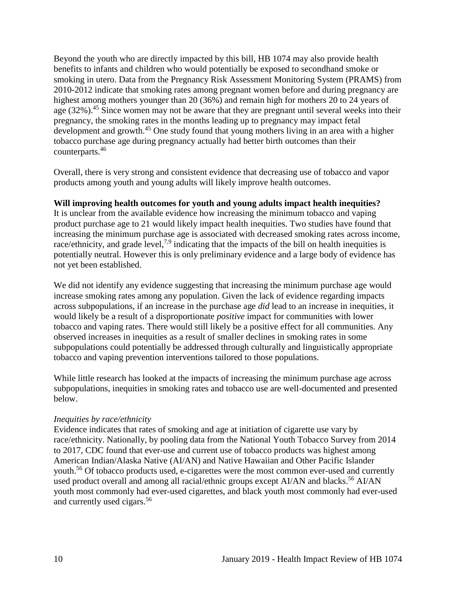Beyond the youth who are directly impacted by this bill, HB 1074 may also provide health benefits to infants and children who would potentially be exposed to secondhand smoke or smoking in utero. Data from the Pregnancy Risk Assessment Monitoring System (PRAMS) from 2010-2012 indicate that smoking rates among pregnant women before and during pregnancy are highest among mothers younger than 20 (36%) and remain high for mothers 20 to 24 years of age (32%).<sup>45</sup> Since women may not be aware that they are pregnant until several weeks into their pregnancy, the smoking rates in the months leading up to pregnancy may impact fetal development and growth.<sup>45</sup> One study found that young mothers living in an area with a higher tobacco purchase age during pregnancy actually had better birth outcomes than their counterparts. 46

Overall, there is very strong and consistent evidence that decreasing use of tobacco and vapor products among youth and young adults will likely improve health outcomes.

## **Will improving health outcomes for youth and young adults impact health inequities?**

It is unclear from the available evidence how increasing the minimum tobacco and vaping product purchase age to 21 would likely impact health inequities. Two studies have found that increasing the minimum purchase age is associated with decreased smoking rates across income, race/ethnicity, and grade level,<sup>[7,](#page-20-0)[9](#page-21-0)</sup> indicating that the impacts of the bill on health inequities is potentially neutral. However this is only preliminary evidence and a large body of evidence has not yet been established.

We did not identify any evidence suggesting that increasing the minimum purchase age would increase smoking rates among any population. Given the lack of evidence regarding impacts across subpopulations, if an increase in the purchase age *did* lead to an increase in inequities, it would likely be a result of a disproportionate *positive* impact for communities with lower tobacco and vaping rates. There would still likely be a positive effect for all communities. Any observed increases in inequities as a result of smaller declines in smoking rates in some subpopulations could potentially be addressed through culturally and linguistically appropriate tobacco and vaping prevention interventions tailored to those populations.

While little research has looked at the impacts of increasing the minimum purchase age across subpopulations, inequities in smoking rates and tobacco use are well-documented and presented below.

#### *Inequities by race/ethnicity*

Evidence indicates that rates of smoking and age at initiation of cigarette use vary by race/ethnicity. Nationally, by pooling data from the National Youth Tobacco Survey from 2014 to 2017, CDC found that ever-use and current use of tobacco products was highest among American Indian/Alaska Native (AI/AN) and Native Hawaiian and Other Pacific Islander youth.<sup>56</sup> Of tobacco products used, e-cigarettes were the most common ever-used and currently used product overall and among all racial/ethnic groups except AI/AN and blacks.<sup>56</sup> AI/AN youth most commonly had ever-used cigarettes, and black youth most commonly had ever-used and currently used cigars.<sup>56</sup>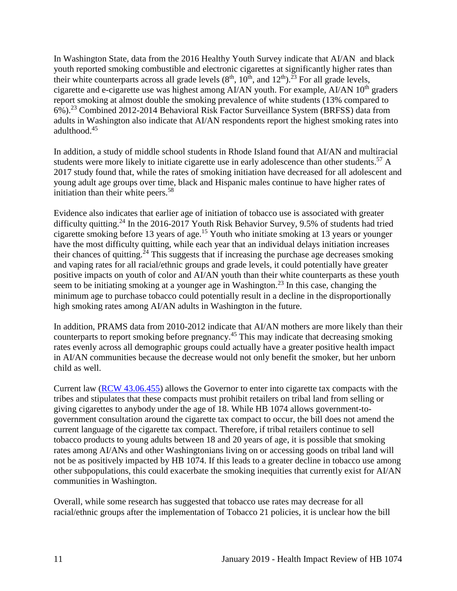In Washington State, data from the 2016 Healthy Youth Survey indicate that AI/AN and black youth reported smoking combustible and electronic cigarettes at significantly higher rates than their white counterparts across all grade levels  $(8<sup>th</sup>, 10<sup>th</sup>,$  and  $12<sup>th</sup>)$ .<sup>23</sup> For all grade levels, cigarette and e-cigarette use was highest among AI/AN youth. For example, AI/AN 10<sup>th</sup> graders report smoking at almost double the smoking prevalence of white students (13% compared to 6%).<sup>23</sup> Combined 2012-2014 Behavioral Risk Factor Surveillance System (BRFSS) data from adults in Washington also indicate that AI/AN respondents report the highest smoking rates into adulthood.<sup>45</sup>

In addition, a study of middle school students in Rhode Island found that AI/AN and multiracial students were more likely to initiate cigarette use in early adolescence than other students.<sup>57</sup> A 2017 study found that, while the rates of smoking initiation have decreased for all adolescent and young adult age groups over time, black and Hispanic males continue to have higher rates of initiation than their white peers.<sup>58</sup>

Evidence also indicates that earlier age of initiation of tobacco use is associated with greater difficulty quitting.<sup>24</sup> In the 2016-2017 Youth Risk Behavior Survey, 9.5% of students had tried cigarette smoking before 13 years of age.<sup>15</sup> Youth who initiate smoking at 13 years or younger have the most difficulty quitting, while each year that an individual delays initiation increases their chances of quitting.<sup>24</sup> This suggests that if increasing the purchase age decreases smoking and vaping rates for all racial/ethnic groups and grade levels, it could potentially have greater positive impacts on youth of color and AI/AN youth than their white counterparts as these youth seem to be initiating smoking at a younger age in Washington.<sup>23</sup> In this case, changing the minimum age to purchase tobacco could potentially result in a decline in the disproportionally high smoking rates among AI/AN adults in Washington in the future.

In addition, PRAMS data from 2010-2012 indicate that AI/AN mothers are more likely than their counterparts to report smoking before pregnancy.<sup>45</sup> This may indicate that decreasing smoking rates evenly across all demographic groups could actually have a greater positive health impact in AI/AN communities because the decrease would not only benefit the smoker, but her unborn child as well.

Current law [\(RCW 43.06.455\)](http://apps.leg.wa.gov/rcw/default.aspx?cite=43.06.455) allows the Governor to enter into cigarette tax compacts with the tribes and stipulates that these compacts must prohibit retailers on tribal land from selling or giving cigarettes to anybody under the age of 18. While HB 1074 allows government-togovernment consultation around the cigarette tax compact to occur, the bill does not amend the current language of the cigarette tax compact. Therefore, if tribal retailers continue to sell tobacco products to young adults between 18 and 20 years of age, it is possible that smoking rates among AI/ANs and other Washingtonians living on or accessing goods on tribal land will not be as positively impacted by HB 1074. If this leads to a greater decline in tobacco use among other subpopulations, this could exacerbate the smoking inequities that currently exist for AI/AN communities in Washington.

Overall, while some research has suggested that tobacco use rates may decrease for all racial/ethnic groups after the implementation of Tobacco 21 policies, it is unclear how the bill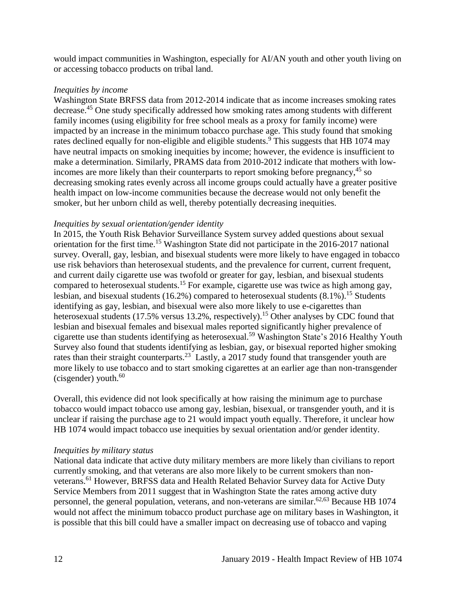would impact communities in Washington, especially for AI/AN youth and other youth living on or accessing tobacco products on tribal land.

#### *Inequities by income*

Washington State BRFSS data from 2012-2014 indicate that as income increases smoking rates decrease.<sup>45</sup> One study specifically addressed how smoking rates among students with different family incomes (using eligibility for free school meals as a proxy for family income) were impacted by an increase in the minimum tobacco purchase age. This study found that smoking rates declined equally for non-eligible and eligible students.<sup>9</sup> This suggests that HB 1074 may have neutral impacts on smoking inequities by income; however, the evidence is insufficient to make a determination. Similarly, PRAMS data from 2010-2012 indicate that mothers with lowincomes are more likely than their counterparts to report smoking before pregnancy,<sup>45</sup> so decreasing smoking rates evenly across all income groups could actually have a greater positive health impact on low-income communities because the decrease would not only benefit the smoker, but her unborn child as well, thereby potentially decreasing inequities.

#### *Inequities by sexual orientation/gender identity*

In 2015, the Youth Risk Behavior Surveillance System survey added questions about sexual orientation for the first time.<sup>15</sup> Washington State did not participate in the 2016-2017 national survey. Overall, gay, lesbian, and bisexual students were more likely to have engaged in tobacco use risk behaviors than heterosexual students, and the prevalence for current, current frequent, and current daily cigarette use was twofold or greater for gay, lesbian, and bisexual students compared to heterosexual students.<sup>15</sup> For example, cigarette use was twice as high among gay, lesbian, and bisexual students (16.2%) compared to heterosexual students  $(8.1\%)$ .<sup>15</sup> Students identifying as gay, lesbian, and bisexual were also more likely to use e-cigarettes than heterosexual students (17.5% versus 13.2%, respectively).<sup>15</sup> Other analyses by CDC found that lesbian and bisexual females and bisexual males reported significantly higher prevalence of cigarette use than students identifying as heterosexual.<sup>59</sup> Washington State's 2016 Healthy Youth Survey also found that students identifying as lesbian, gay, or bisexual reported higher smoking rates than their straight counterparts.<sup>23</sup> Lastly, a 2017 study found that transgender youth are more likely to use tobacco and to start smoking cigarettes at an earlier age than non-transgender (cisgender) youth. $60$ 

Overall, this evidence did not look specifically at how raising the minimum age to purchase tobacco would impact tobacco use among gay, lesbian, bisexual, or transgender youth, and it is unclear if raising the purchase age to 21 would impact youth equally. Therefore, it unclear how HB 1074 would impact tobacco use inequities by sexual orientation and/or gender identity.

#### *Inequities by military status*

National data indicate that active duty military members are more likely than civilians to report currently smoking, and that veterans are also more likely to be current smokers than nonveterans.<sup>61</sup> However, BRFSS data and Health Related Behavior Survey data for Active Duty Service Members from 2011 suggest that in Washington State the rates among active duty personnel, the general population, veterans, and non-veterans are similar.<sup>[62](#page-45-0)[,63](#page-46-0)</sup> Because HB 1074 would not affect the minimum tobacco product purchase age on military bases in Washington, it is possible that this bill could have a smaller impact on decreasing use of tobacco and vaping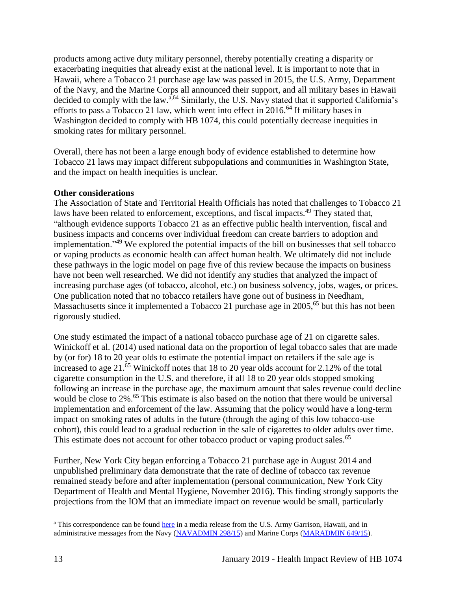products among active duty military personnel, thereby potentially creating a disparity or exacerbating inequities that already exist at the national level. It is important to note that in Hawaii, where a Tobacco 21 purchase age law was passed in 2015, the U.S. Army, Department of the Navy, and the Marine Corps all announced their support, and all military bases in Hawaii decided to comply with the law.<sup>a,64</sup> Similarly, the U.S. Navy stated that it supported California's efforts to pass a Tobacco 21 law, which went into effect in  $2016<sup>64</sup>$  If military bases in Washington decided to comply with HB 1074, this could potentially decrease inequities in smoking rates for military personnel.

Overall, there has not been a large enough body of evidence established to determine how Tobacco 21 laws may impact different subpopulations and communities in Washington State, and the impact on health inequities is unclear.

## **Other considerations**

The Association of State and Territorial Health Officials has noted that challenges to Tobacco 21 laws have been related to enforcement, exceptions, and fiscal impacts.<sup>49</sup> They stated that, "although evidence supports Tobacco 21 as an effective public health intervention, fiscal and business impacts and concerns over individual freedom can create barriers to adoption and implementation."<sup>49</sup> We explored the potential impacts of the bill on businesses that sell tobacco or vaping products as economic health can affect human health. We ultimately did not include these pathways in the logic model on page five of this review because the impacts on business have not been well researched. We did not identify any studies that analyzed the impact of increasing purchase ages (of tobacco, alcohol, etc.) on business solvency, jobs, wages, or prices. One publication noted that no tobacco retailers have gone out of business in Needham, Massachusetts since it implemented a Tobacco 21 purchase age in 2005,<sup>65</sup> but this has not been rigorously studied.

One study estimated the impact of a national tobacco purchase age of 21 on cigarette sales. Winickoff et al. (2014) used national data on the proportion of legal tobacco sales that are made by (or for) 18 to 20 year olds to estimate the potential impact on retailers if the sale age is increased to age 21.<sup>65</sup> Winickoff notes that 18 to 20 year olds account for 2.12% of the total cigarette consumption in the U.S. and therefore, if all 18 to 20 year olds stopped smoking following an increase in the purchase age, the maximum amount that sales revenue could decline would be close to 2%. <sup>65</sup> This estimate is also based on the notion that there would be universal implementation and enforcement of the law. Assuming that the policy would have a long-term impact on smoking rates of adults in the future (through the aging of this low tobacco-use cohort), this could lead to a gradual reduction in the sale of cigarettes to older adults over time. This estimate does not account for other tobacco product or vaping product sales.<sup>65</sup>

Further, New York City began enforcing a Tobacco 21 purchase age in August 2014 and unpublished preliminary data demonstrate that the rate of decline of tobacco tax revenue remained steady before and after implementation (personal communication, New York City Department of Health and Mental Hygiene, November 2016). This finding strongly supports the projections from the IOM that an immediate impact on revenue would be small, particularly

 $\overline{a}$ <sup>a</sup> This correspondence can be found [here](https://www.garrison.hawaii.army.mil/pao/mr2015/MR_2015-12-02_ArmyToComplyWithStateSmokingLaw_FINAL.pdfhttps:/www.garrison.hawaii.army.mil/pao/mr2015/MR_2015-12-02_ArmyToComplyWithStateSmokingLaw_FINAL.pdf) in a media release from the U.S. Army Garrison, Hawaii, and in administrative messages from the Navy [\(NAVADMIN 298/15\)](https://www.navyreserve.navy.mil/Documents/Hot%20Topics%20Holding%20Folder/NAVADMIN%20298_15%20NOTICE%20OF%20HAWAII%20RAISING%20SMOKING%20AGE%20TO%2021%20EFFECTIVE%201%20JAN%2016.pdf) and Marine Corps [\(MARADMIN 649/15\)](http://www.marines.mil/mobile_noteused/MARADMINS/View/Article/175678/notice-of-hawaii-raising-smoking-age-to-21-effective-1-january-2016/).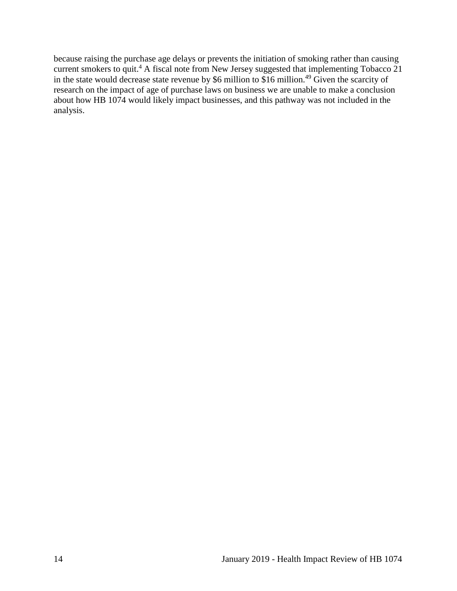because raising the purchase age delays or prevents the initiation of smoking rather than causing current smokers to quit.<sup>4</sup> A fiscal note from New Jersey suggested that implementing Tobacco 21 in the state would decrease state revenue by \$6 million to \$16 million.<sup>49</sup> Given the scarcity of research on the impact of age of purchase laws on business we are unable to make a conclusion about how HB 1074 would likely impact businesses, and this pathway was not included in the analysis.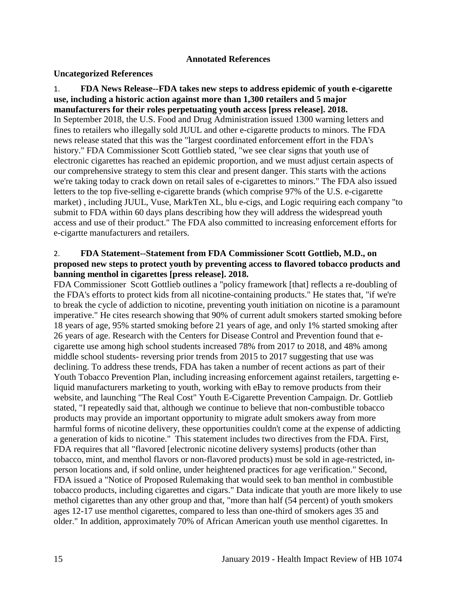#### **Annotated References**

#### <span id="page-17-0"></span>**Uncategorized References**

<span id="page-17-2"></span>1. **FDA News Release--FDA takes new steps to address epidemic of youth e-cigarette use, including a historic action against more than 1,300 retailers and 5 major manufacturers for their roles perpetuating youth access [press release]. 2018.** In September 2018, the U.S. Food and Drug Administration issued 1300 warning letters and fines to retailers who illegally sold JUUL and other e-cigarette products to minors. The FDA news release stated that this was the "largest coordinated enforcement effort in the FDA's history." FDA Commissioner Scott Gottlieb stated, "we see clear signs that youth use of electronic cigarettes has reached an epidemic proportion, and we must adjust certain aspects of our comprehensive strategy to stem this clear and present danger. This starts with the actions we're taking today to crack down on retail sales of e-cigarettes to minors." The FDA also issued letters to the top five-selling e-cigarette brands (which comprise 97% of the U.S. e-cigarette market) , including JUUL, Vuse, MarkTen XL, blu e-cigs, and Logic requiring each company "to submit to FDA within 60 days plans describing how they will address the widespread youth access and use of their product." The FDA also committed to increasing enforcement efforts for e-cigartte manufacturers and retailers.

#### <span id="page-17-1"></span>2. **FDA Statement--Statement from FDA Commissioner Scott Gottlieb, M.D., on proposed new steps to protect youth by preventing access to flavored tobacco products and banning menthol in cigarettes [press release]. 2018.**

FDA Commissioner Scott Gottlieb outlines a "policy framework [that] reflects a re-doubling of the FDA's efforts to protect kids from all nicotine-containing products." He states that, "if we're to break the cycle of addiction to nicotine, preventing youth initiation on nicotine is a paramount imperative." He cites research showing that 90% of current adult smokers started smoking before 18 years of age, 95% started smoking before 21 years of age, and only 1% started smoking after 26 years of age. Research with the Centers for Disease Control and Prevention found that ecigarette use among high school students increased 78% from 2017 to 2018, and 48% among middle school students- reversing prior trends from 2015 to 2017 suggesting that use was declining. To address these trends, FDA has taken a number of recent actions as part of their Youth Tobacco Prevention Plan, including increasing enforcement against retailers, targetting eliquid manufacturers marketing to youth, working with eBay to remove products from their website, and launching "The Real Cost" Youth E-Cigarette Prevention Campaign. Dr. Gottlieb stated, "I repeatedly said that, although we continue to believe that non-combustible tobacco products may provide an important opportunity to migrate adult smokers away from more harmful forms of nicotine delivery, these opportunities couldn't come at the expense of addicting a generation of kids to nicotine." This statement includes two directives from the FDA. First, FDA requires that all "flavored [electronic nicotine delivery systems] products (other than tobacco, mint, and menthol flavors or non-flavored products) must be sold in age-restricted, inperson locations and, if sold online, under heightened practices for age verification." Second, FDA issued a "Notice of Proposed Rulemaking that would seek to ban menthol in combustible tobacco products, including cigarettes and cigars." Data indicate that youth are more likely to use methol cigarettes than any other group and that, "more than half (54 percent) of youth smokers ages 12-17 use menthol cigarettes, compared to less than one-third of smokers ages 35 and older." In addition, approximately 70% of African American youth use menthol cigarettes. In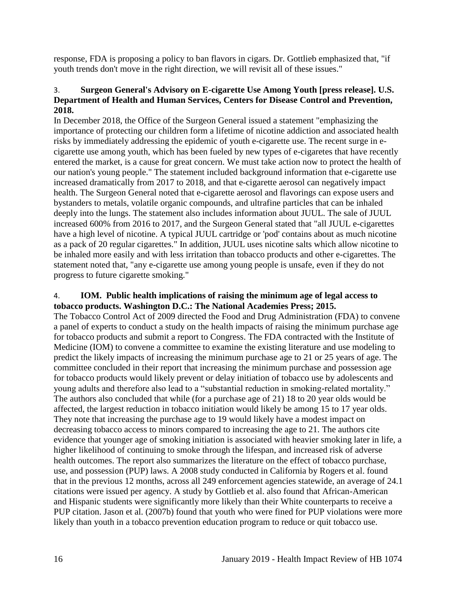response, FDA is proposing a policy to ban flavors in cigars. Dr. Gottlieb emphasized that, "if youth trends don't move in the right direction, we will revisit all of these issues."

## <span id="page-18-0"></span>3. **Surgeon General's Advisory on E-cigarette Use Among Youth [press release]. U.S. Department of Health and Human Services, Centers for Disease Control and Prevention, 2018.**

In December 2018, the Office of the Surgeon General issued a statement "emphasizing the importance of protecting our children form a lifetime of nicotine addiction and associated health risks by immediately addressing the epidemic of youth e-cigarette use. The recent surge in ecigarette use among youth, which has been fueled by new types of e-cigaretes that have recently entered the market, is a cause for great concern. We must take action now to protect the health of our nation's young people." The statement included background information that e-cigarette use increased dramatically from 2017 to 2018, and that e-cigarette aerosol can negatively impact health. The Surgeon General noted that e-cigarette aerosol and flavorings can expose users and bystanders to metals, volatile organic compounds, and ultrafine particles that can be inhaled deeply into the lungs. The statement also includes information about JUUL. The sale of JUUL increased 600% from 2016 to 2017, and the Surgeon General stated that "all JUUL e-cigarettes have a high level of nicotine. A typical JUUL cartridge or 'pod' contains about as much nicotine as a pack of 20 regular cigarettes." In addition, JUUL uses nicotine salts which allow nicotine to be inhaled more easily and with less irritation than tobacco products and other e-cigarettes. The statement noted that, "any e-cigarette use among young people is unsafe, even if they do not progress to future cigarette smoking."

#### <span id="page-18-1"></span>4. **IOM. Public health implications of raising the minimum age of legal access to tobacco products. Washington D.C.: The National Academies Press; 2015.**

The Tobacco Control Act of 2009 directed the Food and Drug Administration (FDA) to convene a panel of experts to conduct a study on the health impacts of raising the minimum purchase age for tobacco products and submit a report to Congress. The FDA contracted with the Institute of Medicine (IOM) to convene a committee to examine the existing literature and use modeling to predict the likely impacts of increasing the minimum purchase age to 21 or 25 years of age. The committee concluded in their report that increasing the minimum purchase and possession age for tobacco products would likely prevent or delay initiation of tobacco use by adolescents and young adults and therefore also lead to a "substantial reduction in smoking-related mortality." The authors also concluded that while (for a purchase age of 21) 18 to 20 year olds would be affected, the largest reduction in tobacco initiation would likely be among 15 to 17 year olds. They note that increasing the purchase age to 19 would likely have a modest impact on decreasing tobacco access to minors compared to increasing the age to 21. The authors cite evidence that younger age of smoking initiation is associated with heavier smoking later in life, a higher likelihood of continuing to smoke through the lifespan, and increased risk of adverse health outcomes. The report also summarizes the literature on the effect of tobacco purchase, use, and possession (PUP) laws. A 2008 study conducted in California by Rogers et al. found that in the previous 12 months, across all 249 enforcement agencies statewide, an average of 24.1 citations were issued per agency. A study by Gottlieb et al. also found that African-American and Hispanic students were significantly more likely than their White counterparts to receive a PUP citation. Jason et al. (2007b) found that youth who were fined for PUP violations were more likely than youth in a tobacco prevention education program to reduce or quit tobacco use.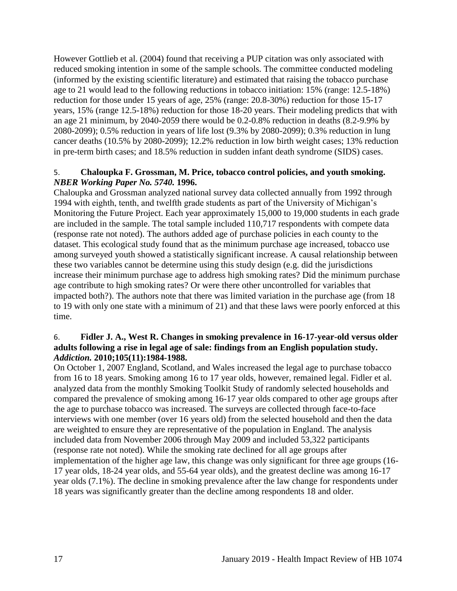However Gottlieb et al. (2004) found that receiving a PUP citation was only associated with reduced smoking intention in some of the sample schools. The committee conducted modeling (informed by the existing scientific literature) and estimated that raising the tobacco purchase age to 21 would lead to the following reductions in tobacco initiation: 15% (range: 12.5-18%) reduction for those under 15 years of age, 25% (range: 20.8-30%) reduction for those 15-17 years, 15% (range 12.5-18%) reduction for those 18-20 years. Their modeling predicts that with an age 21 minimum, by 2040-2059 there would be 0.2-0.8% reduction in deaths (8.2-9.9% by 2080-2099); 0.5% reduction in years of life lost (9.3% by 2080-2099); 0.3% reduction in lung cancer deaths (10.5% by 2080-2099); 12.2% reduction in low birth weight cases; 13% reduction in pre-term birth cases; and 18.5% reduction in sudden infant death syndrome (SIDS) cases.

#### 5. **Chaloupka F. Grossman, M. Price, tobacco control policies, and youth smoking.**  *NBER Working Paper No. 5740.* **1996.**

Chaloupka and Grossman analyzed national survey data collected annually from 1992 through 1994 with eighth, tenth, and twelfth grade students as part of the University of Michigan's Monitoring the Future Project. Each year approximately 15,000 to 19,000 students in each grade are included in the sample. The total sample included 110,717 respondents with compete data (response rate not noted). The authors added age of purchase policies in each county to the dataset. This ecological study found that as the minimum purchase age increased, tobacco use among surveyed youth showed a statistically significant increase. A causal relationship between these two variables cannot be determine using this study design (e.g. did the jurisdictions increase their minimum purchase age to address high smoking rates? Did the minimum purchase age contribute to high smoking rates? Or were there other uncontrolled for variables that impacted both?). The authors note that there was limited variation in the purchase age (from 18 to 19 with only one state with a minimum of 21) and that these laws were poorly enforced at this time.

#### 6. **Fidler J. A., West R. Changes in smoking prevalence in 16-17-year-old versus older adults following a rise in legal age of sale: findings from an English population study.**  *Addiction.* **2010;105(11):1984-1988.**

On October 1, 2007 England, Scotland, and Wales increased the legal age to purchase tobacco from 16 to 18 years. Smoking among 16 to 17 year olds, however, remained legal. Fidler et al. analyzed data from the monthly Smoking Toolkit Study of randomly selected households and compared the prevalence of smoking among 16-17 year olds compared to other age groups after the age to purchase tobacco was increased. The surveys are collected through face-to-face interviews with one member (over 16 years old) from the selected household and then the data are weighted to ensure they are representative of the population in England. The analysis included data from November 2006 through May 2009 and included 53,322 participants (response rate not noted). While the smoking rate declined for all age groups after implementation of the higher age law, this change was only significant for three age groups (16- 17 year olds, 18-24 year olds, and 55-64 year olds), and the greatest decline was among 16-17 year olds (7.1%). The decline in smoking prevalence after the law change for respondents under 18 years was significantly greater than the decline among respondents 18 and older.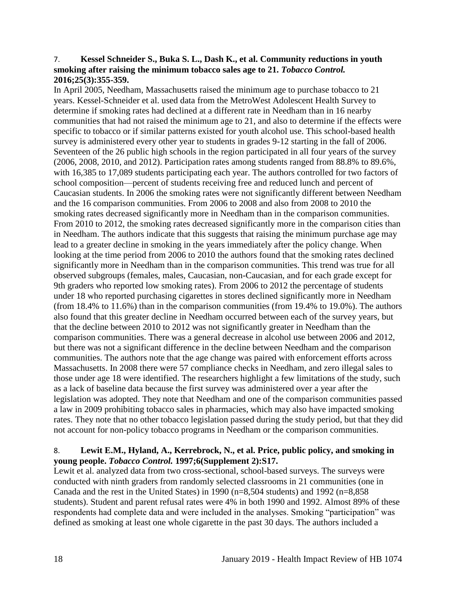#### <span id="page-20-0"></span>7. **Kessel Schneider S., Buka S. L., Dash K., et al. Community reductions in youth smoking after raising the minimum tobacco sales age to 21.** *Tobacco Control.*  **2016;25(3):355-359.**

In April 2005, Needham, Massachusetts raised the minimum age to purchase tobacco to 21 years. Kessel-Schneider et al. used data from the MetroWest Adolescent Health Survey to determine if smoking rates had declined at a different rate in Needham than in 16 nearby communities that had not raised the minimum age to 21, and also to determine if the effects were specific to tobacco or if similar patterns existed for youth alcohol use. This school-based health survey is administered every other year to students in grades 9-12 starting in the fall of 2006. Seventeen of the 26 public high schools in the region participated in all four years of the survey (2006, 2008, 2010, and 2012). Participation rates among students ranged from 88.8% to 89.6%, with 16,385 to 17,089 students participating each year. The authors controlled for two factors of school composition—percent of students receiving free and reduced lunch and percent of Caucasian students. In 2006 the smoking rates were not significantly different between Needham and the 16 comparison communities. From 2006 to 2008 and also from 2008 to 2010 the smoking rates decreased significantly more in Needham than in the comparison communities. From 2010 to 2012, the smoking rates decreased significantly more in the comparison cities than in Needham. The authors indicate that this suggests that raising the minimum purchase age may lead to a greater decline in smoking in the years immediately after the policy change. When looking at the time period from 2006 to 2010 the authors found that the smoking rates declined significantly more in Needham than in the comparison communities. This trend was true for all observed subgroups (females, males, Caucasian, non-Caucasian, and for each grade except for 9th graders who reported low smoking rates). From 2006 to 2012 the percentage of students under 18 who reported purchasing cigarettes in stores declined significantly more in Needham (from 18.4% to 11.6%) than in the comparison communities (from 19.4% to 19.0%). The authors also found that this greater decline in Needham occurred between each of the survey years, but that the decline between 2010 to 2012 was not significantly greater in Needham than the comparison communities. There was a general decrease in alcohol use between 2006 and 2012, but there was not a significant difference in the decline between Needham and the comparison communities. The authors note that the age change was paired with enforcement efforts across Massachusetts. In 2008 there were 57 compliance checks in Needham, and zero illegal sales to those under age 18 were identified. The researchers highlight a few limitations of the study, such as a lack of baseline data because the first survey was administered over a year after the legislation was adopted. They note that Needham and one of the comparison communities passed a law in 2009 prohibiting tobacco sales in pharmacies, which may also have impacted smoking rates. They note that no other tobacco legislation passed during the study period, but that they did not account for non-policy tobacco programs in Needham or the comparison communities.

## 8. **Lewit E.M., Hyland, A., Kerrebrock, N., et al. Price, public policy, and smoking in young people.** *Tobacco Control.* **1997;6(Supplement 2):S17.**

Lewit et al. analyzed data from two cross-sectional, school-based surveys. The surveys were conducted with ninth graders from randomly selected classrooms in 21 communities (one in Canada and the rest in the United States) in 1990 (n=8,504 students) and 1992 (n=8,858 students). Student and parent refusal rates were 4% in both 1990 and 1992. Almost 89% of these respondents had complete data and were included in the analyses. Smoking "participation" was defined as smoking at least one whole cigarette in the past 30 days. The authors included a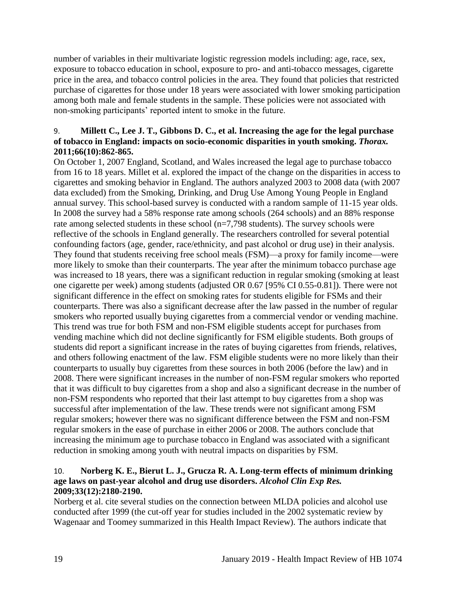number of variables in their multivariate logistic regression models including: age, race, sex, exposure to tobacco education in school, exposure to pro- and anti-tobacco messages, cigarette price in the area, and tobacco control policies in the area. They found that policies that restricted purchase of cigarettes for those under 18 years were associated with lower smoking participation among both male and female students in the sample. These policies were not associated with non-smoking participants' reported intent to smoke in the future.

## <span id="page-21-0"></span>9. **Millett C., Lee J. T., Gibbons D. C., et al. Increasing the age for the legal purchase of tobacco in England: impacts on socio-economic disparities in youth smoking.** *Thorax.*  **2011;66(10):862-865.**

On October 1, 2007 England, Scotland, and Wales increased the legal age to purchase tobacco from 16 to 18 years. Millet et al. explored the impact of the change on the disparities in access to cigarettes and smoking behavior in England. The authors analyzed 2003 to 2008 data (with 2007 data excluded) from the Smoking, Drinking, and Drug Use Among Young People in England annual survey. This school-based survey is conducted with a random sample of 11-15 year olds. In 2008 the survey had a 58% response rate among schools (264 schools) and an 88% response rate among selected students in these school (n=7,798 students). The survey schools were reflective of the schools in England generally. The researchers controlled for several potential confounding factors (age, gender, race/ethnicity, and past alcohol or drug use) in their analysis. They found that students receiving free school meals (FSM)—a proxy for family income—were more likely to smoke than their counterparts. The year after the minimum tobacco purchase age was increased to 18 years, there was a significant reduction in regular smoking (smoking at least one cigarette per week) among students (adjusted OR 0.67 [95% CI 0.55-0.81]). There were not significant difference in the effect on smoking rates for students eligible for FSMs and their counterparts. There was also a significant decrease after the law passed in the number of regular smokers who reported usually buying cigarettes from a commercial vendor or vending machine. This trend was true for both FSM and non-FSM eligible students accept for purchases from vending machine which did not decline significantly for FSM eligible students. Both groups of students did report a significant increase in the rates of buying cigarettes from friends, relatives, and others following enactment of the law. FSM eligible students were no more likely than their counterparts to usually buy cigarettes from these sources in both 2006 (before the law) and in 2008. There were significant increases in the number of non-FSM regular smokers who reported that it was difficult to buy cigarettes from a shop and also a significant decrease in the number of non-FSM respondents who reported that their last attempt to buy cigarettes from a shop was successful after implementation of the law. These trends were not significant among FSM regular smokers; however there was no significant difference between the FSM and non-FSM regular smokers in the ease of purchase in either 2006 or 2008. The authors conclude that increasing the minimum age to purchase tobacco in England was associated with a significant reduction in smoking among youth with neutral impacts on disparities by FSM.

# <span id="page-21-1"></span>10. **Norberg K. E., Bierut L. J., Grucza R. A. Long-term effects of minimum drinking age laws on past-year alcohol and drug use disorders.** *Alcohol Clin Exp Res.*  **2009;33(12):2180-2190.**

Norberg et al. cite several studies on the connection between MLDA policies and alcohol use conducted after 1999 (the cut-off year for studies included in the 2002 systematic review by Wagenaar and Toomey summarized in this Health Impact Review). The authors indicate that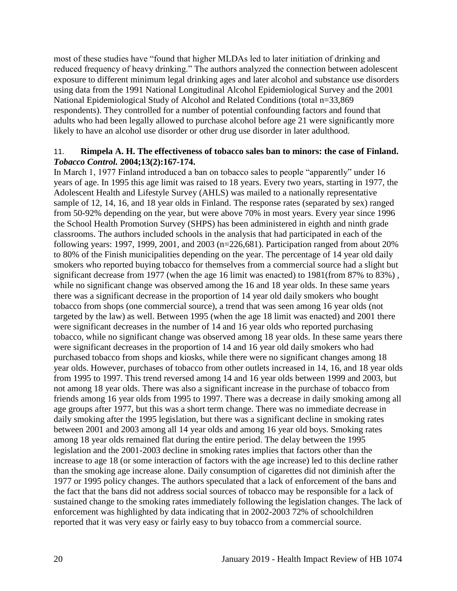most of these studies have "found that higher MLDAs led to later initiation of drinking and reduced frequency of heavy drinking." The authors analyzed the connection between adolescent exposure to different minimum legal drinking ages and later alcohol and substance use disorders using data from the 1991 National Longitudinal Alcohol Epidemiological Survey and the 2001 National Epidemiological Study of Alcohol and Related Conditions (total n=33,869 respondents). They controlled for a number of potential confounding factors and found that adults who had been legally allowed to purchase alcohol before age 21 were significantly more likely to have an alcohol use disorder or other drug use disorder in later adulthood.

#### 11. **Rimpela A. H. The effectiveness of tobacco sales ban to minors: the case of Finland.**  *Tobacco Control.* **2004;13(2):167-174.**

In March 1, 1977 Finland introduced a ban on tobacco sales to people "apparently" under 16 years of age. In 1995 this age limit was raised to 18 years. Every two years, starting in 1977, the Adolescent Health and Lifestyle Survey (AHLS) was mailed to a nationally representative sample of 12, 14, 16, and 18 year olds in Finland. The response rates (separated by sex) ranged from 50-92% depending on the year, but were above 70% in most years. Every year since 1996 the School Health Promotion Survey (SHPS) has been administered in eighth and ninth grade classrooms. The authors included schools in the analysis that had participated in each of the following years: 1997, 1999, 2001, and 2003 (n=226,681). Participation ranged from about 20% to 80% of the Finish municipalities depending on the year. The percentage of 14 year old daily smokers who reported buying tobacco for themselves from a commercial source had a slight but significant decrease from 1977 (when the age 16 limit was enacted) to 1981(from 87% to 83%), while no significant change was observed among the 16 and 18 year olds. In these same years there was a significant decrease in the proportion of 14 year old daily smokers who bought tobacco from shops (one commercial source), a trend that was seen among 16 year olds (not targeted by the law) as well. Between 1995 (when the age 18 limit was enacted) and 2001 there were significant decreases in the number of 14 and 16 year olds who reported purchasing tobacco, while no significant change was observed among 18 year olds. In these same years there were significant decreases in the proportion of 14 and 16 year old daily smokers who had purchased tobacco from shops and kiosks, while there were no significant changes among 18 year olds. However, purchases of tobacco from other outlets increased in 14, 16, and 18 year olds from 1995 to 1997. This trend reversed among 14 and 16 year olds between 1999 and 2003, but not among 18 year olds. There was also a significant increase in the purchase of tobacco from friends among 16 year olds from 1995 to 1997. There was a decrease in daily smoking among all age groups after 1977, but this was a short term change. There was no immediate decrease in daily smoking after the 1995 legislation, but there was a significant decline in smoking rates between 2001 and 2003 among all 14 year olds and among 16 year old boys. Smoking rates among 18 year olds remained flat during the entire period. The delay between the 1995 legislation and the 2001-2003 decline in smoking rates implies that factors other than the increase to age 18 (or some interaction of factors with the age increase) led to this decline rather than the smoking age increase alone. Daily consumption of cigarettes did not diminish after the 1977 or 1995 policy changes. The authors speculated that a lack of enforcement of the bans and the fact that the bans did not address social sources of tobacco may be responsible for a lack of sustained change to the smoking rates immediately following the legislation changes. The lack of enforcement was highlighted by data indicating that in 2002-2003 72% of schoolchildren reported that it was very easy or fairly easy to buy tobacco from a commercial source.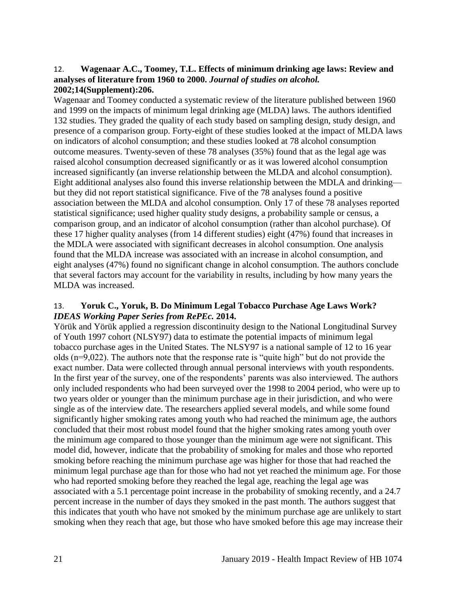#### <span id="page-23-1"></span>12. **Wagenaar A.C., Toomey, T.L. Effects of minimum drinking age laws: Review and analyses of literature from 1960 to 2000.** *Journal of studies on alcohol.*  **2002;14(Supplement):206.**

Wagenaar and Toomey conducted a systematic review of the literature published between 1960 and 1999 on the impacts of minimum legal drinking age (MLDA) laws. The authors identified 132 studies. They graded the quality of each study based on sampling design, study design, and presence of a comparison group. Forty-eight of these studies looked at the impact of MLDA laws on indicators of alcohol consumption; and these studies looked at 78 alcohol consumption outcome measures. Twenty-seven of these 78 analyses (35%) found that as the legal age was raised alcohol consumption decreased significantly or as it was lowered alcohol consumption increased significantly (an inverse relationship between the MLDA and alcohol consumption). Eight additional analyses also found this inverse relationship between the MDLA and drinking but they did not report statistical significance. Five of the 78 analyses found a positive association between the MLDA and alcohol consumption. Only 17 of these 78 analyses reported statistical significance; used higher quality study designs, a probability sample or census, a comparison group, and an indicator of alcohol consumption (rather than alcohol purchase). Of these 17 higher quality analyses (from 14 different studies) eight (47%) found that increases in the MDLA were associated with significant decreases in alcohol consumption. One analysis found that the MLDA increase was associated with an increase in alcohol consumption, and eight analyses (47%) found no significant change in alcohol consumption. The authors conclude that several factors may account for the variability in results, including by how many years the MLDA was increased.

## <span id="page-23-0"></span>13. **Yoruk C., Yoruk, B. Do Minimum Legal Tobacco Purchase Age Laws Work?**  *IDEAS Working Paper Series from RePEc.* **2014.**

Yörük and Yörük applied a regression discontinuity design to the National Longitudinal Survey of Youth 1997 cohort (NLSY97) data to estimate the potential impacts of minimum legal tobacco purchase ages in the United States. The NLSY97 is a national sample of 12 to 16 year olds (n=9,022). The authors note that the response rate is "quite high" but do not provide the exact number. Data were collected through annual personal interviews with youth respondents. In the first year of the survey, one of the respondents' parents was also interviewed. The authors only included respondents who had been surveyed over the 1998 to 2004 period, who were up to two years older or younger than the minimum purchase age in their jurisdiction, and who were single as of the interview date. The researchers applied several models, and while some found significantly higher smoking rates among youth who had reached the minimum age, the authors concluded that their most robust model found that the higher smoking rates among youth over the minimum age compared to those younger than the minimum age were not significant. This model did, however, indicate that the probability of smoking for males and those who reported smoking before reaching the minimum purchase age was higher for those that had reached the minimum legal purchase age than for those who had not yet reached the minimum age. For those who had reported smoking before they reached the legal age, reaching the legal age was associated with a 5.1 percentage point increase in the probability of smoking recently, and a 24.7 percent increase in the number of days they smoked in the past month. The authors suggest that this indicates that youth who have not smoked by the minimum purchase age are unlikely to start smoking when they reach that age, but those who have smoked before this age may increase their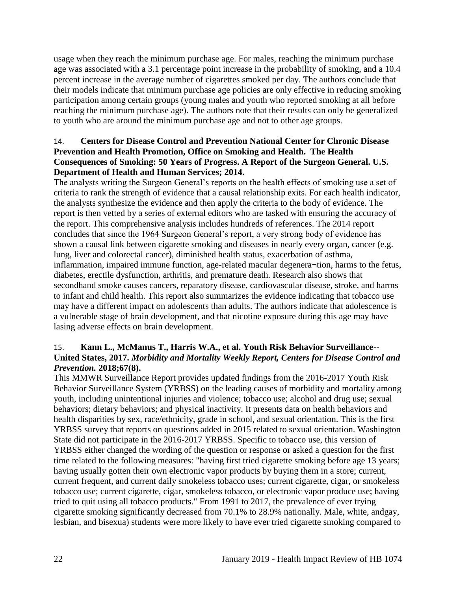usage when they reach the minimum purchase age. For males, reaching the minimum purchase age was associated with a 3.1 percentage point increase in the probability of smoking, and a 10.4 percent increase in the average number of cigarettes smoked per day. The authors conclude that their models indicate that minimum purchase age policies are only effective in reducing smoking participation among certain groups (young males and youth who reported smoking at all before reaching the minimum purchase age). The authors note that their results can only be generalized to youth who are around the minimum purchase age and not to other age groups.

## <span id="page-24-0"></span>14. **Centers for Disease Control and Prevention National Center for Chronic Disease Prevention and Health Promotion, Office on Smoking and Health. The Health Consequences of Smoking: 50 Years of Progress. A Report of the Surgeon General. U.S. Department of Health and Human Services; 2014.**

The analysts writing the Surgeon General's reports on the health effects of smoking use a set of criteria to rank the strength of evidence that a causal relationship exits. For each health indicator, the analysts synthesize the evidence and then apply the criteria to the body of evidence. The report is then vetted by a series of external editors who are tasked with ensuring the accuracy of the report. This comprehensive analysis includes hundreds of references. The 2014 report concludes that since the 1964 Surgeon General's report, a very strong body of evidence has shown a causal link between cigarette smoking and diseases in nearly every organ, cancer (e.g. lung, liver and colorectal cancer), diminished health status, exacerbation of asthma, inflammation, impaired immune function, age-related macular degenera¬tion, harms to the fetus, diabetes, erectile dysfunction, arthritis, and premature death. Research also shows that secondhand smoke causes cancers, reparatory disease, cardiovascular disease, stroke, and harms to infant and child health. This report also summarizes the evidence indicating that tobacco use may have a different impact on adolescents than adults. The authors indicate that adolescence is a vulnerable stage of brain development, and that nicotine exposure during this age may have lasing adverse effects on brain development.

# 15. **Kann L., McManus T., Harris W.A., et al. Youth Risk Behavior Surveillance-- United States, 2017.** *Morbidity and Mortality Weekly Report, Centers for Disease Control and Prevention.* **2018;67(8).**

This MMWR Surveillance Report provides updated findings from the 2016-2017 Youth Risk Behavior Surveillance System (YRBSS) on the leading causes of morbidity and mortality among youth, including unintentional injuries and violence; tobacco use; alcohol and drug use; sexual behaviors; dietary behaviors; and physical inactivity. It presents data on health behaviors and health disparities by sex, race/ethnicity, grade in school, and sexual orientation. This is the first YRBSS survey that reports on questions added in 2015 related to sexual orientation. Washington State did not participate in the 2016-2017 YRBSS. Specific to tobacco use, this version of YRBSS either changed the wording of the question or response or asked a question for the first time related to the following measures: "having first tried cigarette smoking before age 13 years; having usually gotten their own electronic vapor products by buying them in a store; current, current frequent, and current daily smokeless tobacco uses; current cigarette, cigar, or smokeless tobacco use; current cigarette, cigar, smokeless tobacco, or electronic vapor produce use; having tried to quit using all tobacco products." From 1991 to 2017, the prevalence of ever trying cigarette smoking significantly decreased from 70.1% to 28.9% nationally. Male, white, andgay, lesbian, and bisexua) students were more likely to have ever tried cigarette smoking compared to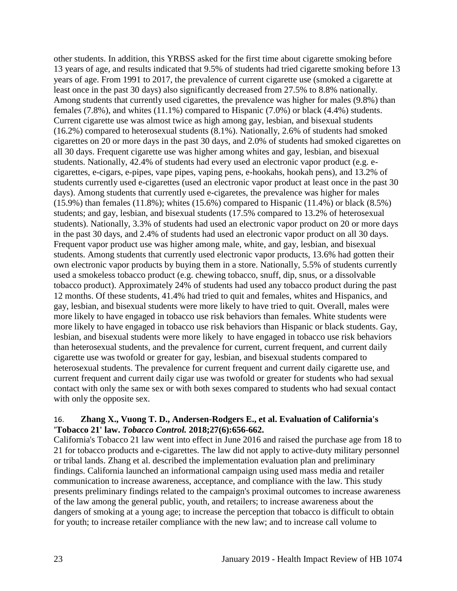other students. In addition, this YRBSS asked for the first time about cigarette smoking before 13 years of age, and results indicated that 9.5% of students had tried cigarette smoking before 13 years of age. From 1991 to 2017, the prevalence of current cigarette use (smoked a cigarette at least once in the past 30 days) also significantly decreased from 27.5% to 8.8% nationally. Among students that currently used cigarettes, the prevalence was higher for males (9.8%) than females (7.8%), and whites (11.1%) compared to Hispanic (7.0%) or black (4.4%) students. Current cigarette use was almost twice as high among gay, lesbian, and bisexual students (16.2%) compared to heterosexual students (8.1%). Nationally, 2.6% of students had smoked cigarettes on 20 or more days in the past 30 days, and 2.0% of students had smoked cigarettes on all 30 days. Frequent cigarette use was higher among whites and gay, lesbian, and bisexual students. Nationally, 42.4% of students had every used an electronic vapor product (e.g. ecigarettes, e-cigars, e-pipes, vape pipes, vaping pens, e-hookahs, hookah pens), and 13.2% of students currently used e-cigarettes (used an electronic vapor product at least once in the past 30 days). Among students that currently used e-cigaretes, the prevalence was higher for males  $(15.9\%)$  than females  $(11.8\%)$ ; whites  $(15.6\%)$  compared to Hispanic  $(11.4\%)$  or black  $(8.5\%)$ students; and gay, lesbian, and bisexual students (17.5% compared to 13.2% of heterosexual students). Nationally, 3.3% of students had used an electronic vapor product on 20 or more days in the past 30 days, and 2.4% of students had used an electronic vapor product on all 30 days. Frequent vapor product use was higher among male, white, and gay, lesbian, and bisexual students. Among students that currently used electronic vapor products, 13.6% had gotten their own electronic vapor products by buying them in a store. Nationally, 5.5% of students currently used a smokeless tobacco product (e.g. chewing tobacco, snuff, dip, snus, or a dissolvable tobacco product). Approximately 24% of students had used any tobacco product during the past 12 months. Of these students, 41.4% had tried to quit and females, whites and Hispanics, and gay, lesbian, and bisexual students were more likely to have tried to quit. Overall, males were more likely to have engaged in tobacco use risk behaviors than females. White students were more likely to have engaged in tobacco use risk behaviors than Hispanic or black students. Gay, lesbian, and bisexual students were more likely to have engaged in tobacco use risk behaviors than heterosexual students, and the prevalence for current, current frequent, and current daily cigarette use was twofold or greater for gay, lesbian, and bisexual students compared to heterosexual students. The prevalence for current frequent and current daily cigarette use, and current frequent and current daily cigar use was twofold or greater for students who had sexual contact with only the same sex or with both sexes compared to students who had sexual contact with only the opposite sex.

#### 16. **Zhang X., Vuong T. D., Andersen-Rodgers E., et al. Evaluation of California's 'Tobacco 21' law.** *Tobacco Control.* **2018;27(6):656-662.**

California's Tobacco 21 law went into effect in June 2016 and raised the purchase age from 18 to 21 for tobacco products and e-cigarettes. The law did not apply to active-duty military personnel or tribal lands. Zhang et al. described the implementation evaluation plan and preliminary findings. California launched an informational campaign using used mass media and retailer communication to increase awareness, acceptance, and compliance with the law. This study presents preliminary findings related to the campaign's proximal outcomes to increase awareness of the law among the general public, youth, and retailers; to increase awareness about the dangers of smoking at a young age; to increase the perception that tobacco is difficult to obtain for youth; to increase retailer compliance with the new law; and to increase call volume to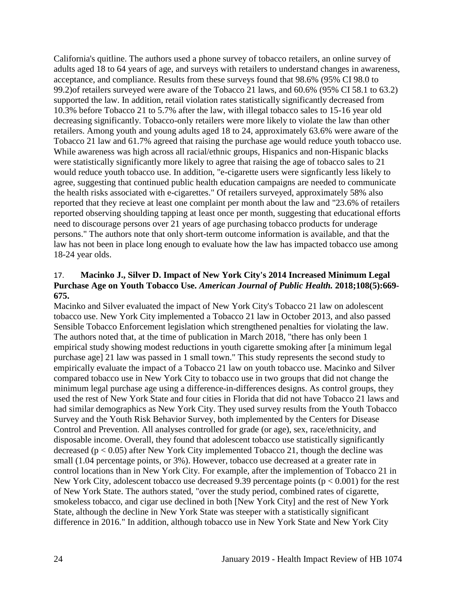California's quitline. The authors used a phone survey of tobacco retailers, an online survey of adults aged 18 to 64 years of age, and surveys with retailers to understand changes in awareness, acceptance, and compliance. Results from these surveys found that 98.6% (95% CI 98.0 to 99.2)of retailers surveyed were aware of the Tobacco 21 laws, and 60.6% (95% CI 58.1 to 63.2) supported the law. In addition, retail violation rates statistically significantly decreased from 10.3% before Tobacco 21 to 5.7% after the law, with illegal tobacco sales to 15-16 year old decreasing significantly. Tobacco-only retailers were more likely to violate the law than other retailers. Among youth and young adults aged 18 to 24, approximately 63.6% were aware of the Tobacco 21 law and 61.7% agreed that raising the purchase age would reduce youth tobacco use. While awareness was high across all racial/ethnic groups, Hispanics and non-Hispanic blacks were statistically significantly more likely to agree that raising the age of tobacco sales to 21 would reduce youth tobacco use. In addition, "e-cigarette users were signficantly less likely to agree, suggesting that continued public health education campaigns are needed to communicate the health risks associated with e-cigarettes." Of retailers surveyed, approximately 58% also reported that they recieve at least one complaint per month about the law and "23.6% of retailers reported observing shoulding tapping at least once per month, suggesting that educational efforts need to discourage persons over 21 years of age purchasing tobacco products for underage persons." The authors note that only short-term outcome information is available, and that the law has not been in place long enough to evaluate how the law has impacted tobacco use among 18-24 year olds.

## 17. **Macinko J., Silver D. Impact of New York City's 2014 Increased Minimum Legal Purchase Age on Youth Tobacco Use.** *American Journal of Public Health.* **2018;108(5):669- 675.**

Macinko and Silver evaluated the impact of New York City's Tobacco 21 law on adolescent tobacco use. New York City implemented a Tobacco 21 law in October 2013, and also passed Sensible Tobacco Enforcement legislation which strengthened penalties for violating the law. The authors noted that, at the time of publication in March 2018, "there has only been 1 empirical study showing modest reductions in youth cigarette smoking after [a minimum legal purchase age] 21 law was passed in 1 small town." This study represents the second study to empirically evaluate the impact of a Tobacco 21 law on youth tobacco use. Macinko and Silver compared tobacco use in New York City to tobacco use in two groups that did not change the minimum legal purchase age using a difference-in-differences designs. As control groups, they used the rest of New York State and four cities in Florida that did not have Tobacco 21 laws and had similar demographics as New York City. They used survey results from the Youth Tobacco Survey and the Youth Risk Behavior Survey, both implemented by the Centers for Disease Control and Prevention. All analyses controlled for grade (or age), sex, race/ethnicity, and disposable income. Overall, they found that adolescent tobacco use statistically significantly decreased ( $p < 0.05$ ) after New York City implemented Tobacco 21, though the decline was small (1.04 percentage points, or 3%). However, tobacco use decreased at a greater rate in control locations than in New York City. For example, after the implemention of Tobacco 21 in New York City, adolescent tobacco use decreased 9.39 percentage points ( $p < 0.001$ ) for the rest of New York State. The authors stated, "over the study period, combined rates of cigarette, smokeless tobacco, and cigar use declined in both [New York City] and the rest of New York State, although the decline in New York State was steeper with a statistically significant difference in 2016." In addition, although tobacco use in New York State and New York City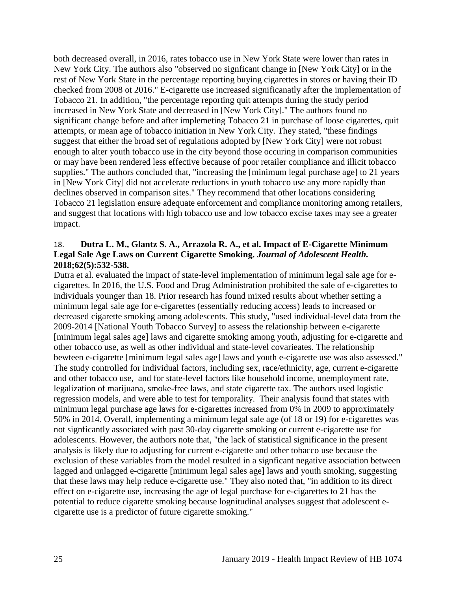both decreased overall, in 2016, rates tobacco use in New York State were lower than rates in New York City. The authors also "observed no signficant change in [New York City] or in the rest of New York State in the percentage reporting buying cigarettes in stores or having their ID checked from 2008 ot 2016." E-cigarette use increased significanatly after the implementation of Tobacco 21. In addition, "the percentage reporting quit attempts during the study period increased in New York State and decreased in [New York City]." The authors found no significant change before and after implemeting Tobacco 21 in purchase of loose cigarettes, quit attempts, or mean age of tobacco initiation in New York City. They stated, "these findings suggest that either the broad set of regulations adopted by [New York City] were not robust enough to alter youth tobacco use in the city beyond those occuring in comparison communities or may have been rendered less effective because of poor retailer compliance and illicit tobacco supplies." The authors concluded that, "increasing the [minimum legal purchase age] to 21 years in [New York City] did not accelerate reductions in youth tobacco use any more rapidly than declines observed in comparison sites." They recommend that other locations considering Tobacco 21 legislation ensure adequate enforcement and compliance monitoring among retailers, and suggest that locations with high tobacco use and low tobacco excise taxes may see a greater impact.

#### <span id="page-27-0"></span>18. **Dutra L. M., Glantz S. A., Arrazola R. A., et al. Impact of E-Cigarette Minimum Legal Sale Age Laws on Current Cigarette Smoking.** *Journal of Adolescent Health.*  **2018;62(5):532-538.**

Dutra et al. evaluated the impact of state-level implementation of minimum legal sale age for ecigarettes. In 2016, the U.S. Food and Drug Administration prohibited the sale of e-cigarettes to individuals younger than 18. Prior research has found mixed results about whether setting a minimum legal sale age for e-cigarettes (essentially reducing access) leads to increased or decreased cigarette smoking among adolescents. This study, "used individual-level data from the 2009-2014 [National Youth Tobacco Survey] to assess the relationship between e-cigarette [minimum legal sales age] laws and cigarette smoking among youth, adjusting for e-cigarette and other tobacco use, as well as other individual and state-level covarieates. The relationship bewteen e-cigarette [minimum legal sales age] laws and youth e-cigarette use was also assessed." The study controlled for individual factors, including sex, race/ethnicity, age, current e-cigarette and other tobacco use, and for state-level factors like household income, unemployment rate, legalization of marijuana, smoke-free laws, and state cigarette tax. The authors used logistic regression models, and were able to test for temporality. Their analysis found that states with minimum legal purchase age laws for e-cigarettes increased from 0% in 2009 to approximately 50% in 2014. Overall, implementing a minimum legal sale age (of 18 or 19) for e-cigarettes was not signficantly associated with past 30-day cigarette smoking or current e-cigarette use for adolescents. However, the authors note that, "the lack of statistical significance in the present analysis is likely due to adjusting for current e-cigarette and other tobacco use because the exclusion of these variables from the model resulted in a signficant negative association between lagged and unlagged e-cigarette [minimum legal sales age] laws and youth smoking, suggesting that these laws may help reduce e-cigarette use." They also noted that, "in addition to its direct effect on e-cigarette use, increasing the age of legal purchase for e-cigarettes to 21 has the potential to reduce cigarette smoking because lognitudinal analyses suggest that adolescent ecigarette use is a predictor of future cigarette smoking."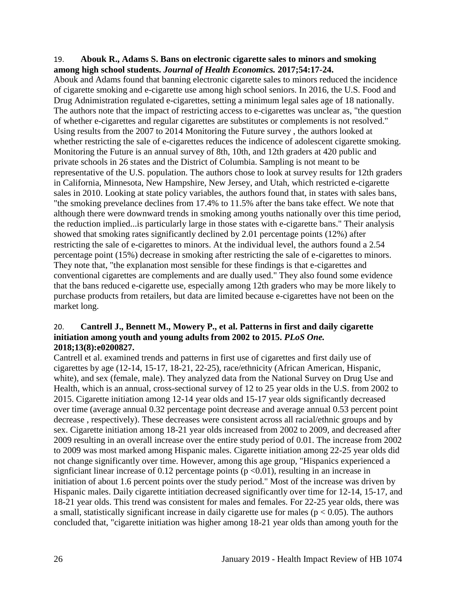#### <span id="page-28-0"></span>19. **Abouk R., Adams S. Bans on electronic cigarette sales to minors and smoking among high school students.** *Journal of Health Economics.* **2017;54:17-24.**

Abouk and Adams found that banning electronic cigarette sales to minors reduced the incidence of cigarette smoking and e-cigarette use among high school seniors. In 2016, the U.S. Food and Drug Adnimistration regulated e-cigarettes, setting a minimum legal sales age of 18 nationally. The authors note that the impact of restricting access to e-cigarettes was unclear as, "the question of whether e-cigarettes and regular cigarettes are substitutes or complements is not resolved." Using results from the 2007 to 2014 Monitoring the Future survey , the authors looked at whether restricting the sale of e-cigarettes reduces the indicence of adolescent cigarette smoking. Monitoring the Future is an annual survey of 8th, 10th, and 12th graders at 420 public and private schools in 26 states and the District of Columbia. Sampling is not meant to be representative of the U.S. population. The authors chose to look at survey results for 12th graders in California, Minnesota, New Hampshire, New Jersey, and Utah, which restricted e-cigarette sales in 2010. Looking at state policy variables, the authors found that, in states with sales bans, "the smoking prevelance declines from 17.4% to 11.5% after the bans take effect. We note that although there were downward trends in smoking among youths nationally over this time period, the reduction implied...is particularly large in those states with e-cigarette bans." Their analysis showed that smoking rates significantly declined by 2.01 percentage points (12%) after restricting the sale of e-cigarettes to minors. At the individual level, the authors found a 2.54 percentage point (15%) decrease in smoking after restricting the sale of e-cigarettes to minors. They note that, "the explanation most sensible for these findings is that e-cigarettes and conventional cigarettes are complements and are dually used." They also found some evidence that the bans reduced e-cigarette use, especially among 12th graders who may be more likely to purchase products from retailers, but data are limited because e-cigarettes have not been on the market long.

## 20. **Cantrell J., Bennett M., Mowery P., et al. Patterns in first and daily cigarette initiation among youth and young adults from 2002 to 2015.** *PLoS One.*  **2018;13(8):e0200827.**

Cantrell et al. examined trends and patterns in first use of cigarettes and first daily use of cigarettes by age (12-14, 15-17, 18-21, 22-25), race/ethnicity (African American, Hispanic, white), and sex (female, male). They analyzed data from the National Survey on Drug Use and Health, which is an annual, cross-sectional survey of 12 to 25 year olds in the U.S. from 2002 to 2015. Cigarette initiation among 12-14 year olds and 15-17 year olds significantly decreased over time (average annual 0.32 percentage point decrease and average annual 0.53 percent point decrease , respectively). These decreases were consistent across all racial/ethnic groups and by sex. Cigarette initiation among 18-21 year olds increased from 2002 to 2009, and decreased after 2009 resulting in an overall increase over the entire study period of 0.01. The increase from 2002 to 2009 was most marked among Hispanic males. Cigarette initiation among 22-25 year olds did not change significantly over time. However, among this age group, "Hispanics experienced a signficiant linear increase of 0.12 percentage points ( $p \le 0.01$ ), resulting in an increase in initiation of about 1.6 percent points over the study period." Most of the increase was driven by Hispanic males. Daily cigarette intitiation decreased significantly over time for 12-14, 15-17, and 18-21 year olds. This trend was consistent for males and females. For 22-25 year olds, there was a small, statistically significant increase in daily cigarette use for males ( $p < 0.05$ ). The authors concluded that, "cigarette initiation was higher among 18-21 year olds than among youth for the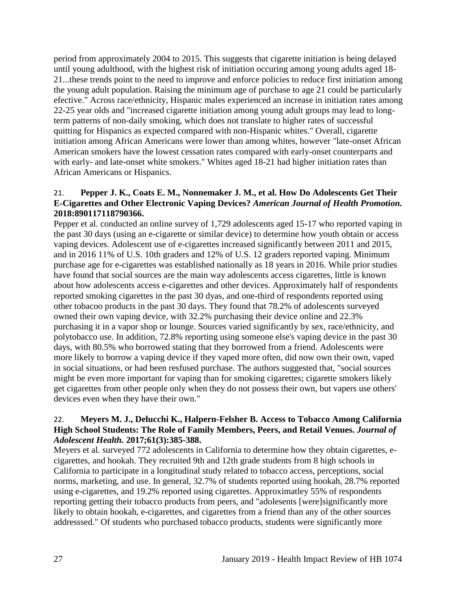period from approximately 2004 to 2015. This suggests that cigarette initiation is being delayed until young adulthood, with the highest risk of initiation occuring among young adults aged 18- 21...these trends point to the need to improve and enforce policies to reduce first initiation among the young adult population. Raising the minimum age of purchase to age 21 could be particularly efective." Across race/ethnicity, Hispanic males experienced an increase in initiation rates among 22-25 year olds and "increased cigarette initiation among young adult groups may lead to longterm patterns of non-daily smoking, which does not translate to higher rates of successful quitting for Hispanics as expected compared with non-Hispanic whites." Overall, cigarette initiation among African Americans were lower than among whites, however "late-onset African American smokers have the lowest cessation rates compared with early-onset counterparts and with early- and late-onset white smokers." Whites aged 18-21 had higher initiation rates than African Americans or Hispanics.

## 21. **Pepper J. K., Coats E. M., Nonnemaker J. M., et al. How Do Adolescents Get Their E-Cigarettes and Other Electronic Vaping Devices?** *American Journal of Health Promotion.*  **2018:890117118790366.**

Pepper et al. conducted an online survey of 1,729 adolescents aged 15-17 who reported vaping in the past 30 days (using an e-cigarette or similar device) to determine how youth obtain or access vaping devices. Adolescent use of e-cigarettes increased significantly between 2011 and 2015, and in 2016 11% of U.S. 10th graders and 12% of U.S. 12 graders reported vaping. Minimum purchase age for e-cigarettes was established nationally as 18 years in 2016. While prior studies have found that social sources are the main way adolescents access cigarettes, little is known about how adolescents access e-cigarettes and other devices. Approximately half of respondents reported smoking cigarettes in the past 30 dyas, and one-third of respondents reported using other tobacoo products in the past 30 days. They found that 78.2% of adolescents surveyed owned their own vaping device, with 32.2% purchasing their device online and 22.3% purchasing it in a vapor shop or lounge. Sources varied significantly by sex, race/ethnicity, and polytobacco use. In addition, 72.8% reporting using someone else's vaping device in the past 30 days, with 80.5% who borrowed stating that they borrowed from a friend. Adolescents were more likely to borrow a vaping device if they vaped more often, did now own their own, vaped in social situations, or had been resfused purchase. The authors suggested that, "social sources might be even more important for vaping than for smoking cigarettes; cigarette smokers likely get cigarettes from other people only when they do not possess their own, but vapers use others' devices even when they have their own."

## 22. **Meyers M. J., Delucchi K., Halpern-Felsher B. Access to Tobacco Among California High School Students: The Role of Family Members, Peers, and Retail Venues.** *Journal of Adolescent Health.* **2017;61(3):385-388.**

Meyers et al. surveyed 772 adolescents in California to determine how they obtain cigarettes, ecigarettes, and hookah. They recruited 9th and 12th grade students from 8 high schools in California to participate in a longitudinal study related to tobacco access, perceptions, social norms, marketing, and use. In general, 32.7% of students reported using hookah, 28.7% reported using e-cigarettes, and 19.2% reported using cigarettes. Approximatley 55% of respondents reporting getting their tobacco products from peers, and "adolesents [were]significantly more likely to obtain hookah, e-cigarettes, and cigarettes from a friend than any of the other sources addresssed." Of students who purchased tobacco products, students were significantly more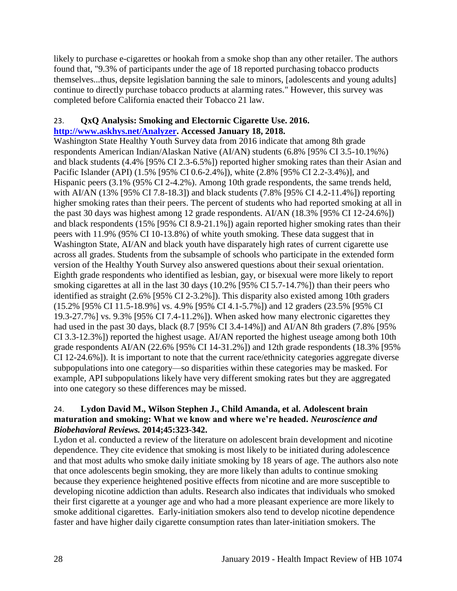likely to purchase e-cigarettes or hookah from a smoke shop than any other retailer. The authors found that, "9.3% of participants under the age of 18 reported purchasing tobacco products themselves...thus, depsite legislation banning the sale to minors, [adolescents and young adults] continue to directly purchase tobacco products at alarming rates." However, this survey was completed before California enacted their Tobacco 21 law.

# 23. **QxQ Analysis: Smoking and Electornic Cigarette Use. 2016. [http://www.askhys.net/Analyzer.](http://www.askhys.net/Analyzer) Accessed January 18, 2018.**

Washington State Healthy Youth Survey data from 2016 indicate that among 8th grade respondents American Indian/Alaskan Native (AI/AN) students (6.8% [95% CI 3.5-10.1%%) and black students (4.4% [95% CI 2.3-6.5%]) reported higher smoking rates than their Asian and Pacific Islander (API) (1.5% [95% CI 0.6-2.4%]), white (2.8% [95% CI 2.2-3.4%)], and Hispanic peers (3.1% (95% CI 2-4.2%). Among 10th grade respondents, the same trends held, with AI/AN (13% [95% CI 7.8-18.3]) and black students (7.8% [95% CI 4.2-11.4%]) reporting higher smoking rates than their peers. The percent of students who had reported smoking at all in the past 30 days was highest among 12 grade respondents. AI/AN (18.3% [95% CI 12-24.6%]) and black respondents (15% [95% CI 8.9-21.1%]) again reported higher smoking rates than their peers with 11.9% (95% CI 10-13.8%) of white youth smoking. These data suggest that in Washington State, AI/AN and black youth have disparately high rates of current cigarette use across all grades. Students from the subsample of schools who participate in the extended form version of the Healthy Youth Survey also answered questions about their sexual orientation. Eighth grade respondents who identified as lesbian, gay, or bisexual were more likely to report smoking cigarettes at all in the last 30 days (10.2% [95% CI 5.7-14.7%]) than their peers who identified as straight (2.6% [95% CI 2-3.2%]). This disparity also existed among 10th graders (15.2% [95% CI 11.5-18.9%] vs. 4.9% [95% CI 4.1-5.7%]) and 12 graders (23.5% [95% CI 19.3-27.7%] vs. 9.3% [95% CI 7.4-11.2%]). When asked how many electronic cigarettes they had used in the past 30 days, black (8.7 [95% CI 3.4-14%]) and AI/AN 8th graders (7.8% [95% CI 3.3-12.3%]) reported the highest usage. AI/AN reported the highest useage among both 10th grade respondents AI/AN (22.6% [95% CI 14-31.2%]) and 12th grade respondents (18.3% [95% CI 12-24.6%]). It is important to note that the current race/ethnicity categories aggregate diverse subpopulations into one category—so disparities within these categories may be masked. For example, API subpopulations likely have very different smoking rates but they are aggregated into one category so these differences may be missed.

#### <span id="page-30-0"></span>24. **Lydon David M., Wilson Stephen J., Child Amanda, et al. Adolescent brain maturation and smoking: What we know and where we're headed.** *Neuroscience and Biobehavioral Reviews.* **2014;45:323-342.**

Lydon et al. conducted a review of the literature on adolescent brain development and nicotine dependence. They cite evidence that smoking is most likely to be initiated during adolescence and that most adults who smoke daily initiate smoking by 18 years of age. The authors also note that once adolescents begin smoking, they are more likely than adults to continue smoking because they experience heightened positive effects from nicotine and are more susceptible to developing nicotine addiction than adults. Research also indicates that individuals who smoked their first cigarette at a younger age and who had a more pleasant experience are more likely to smoke additional cigarettes. Early-initiation smokers also tend to develop nicotine dependence faster and have higher daily cigarette consumption rates than later-initiation smokers. The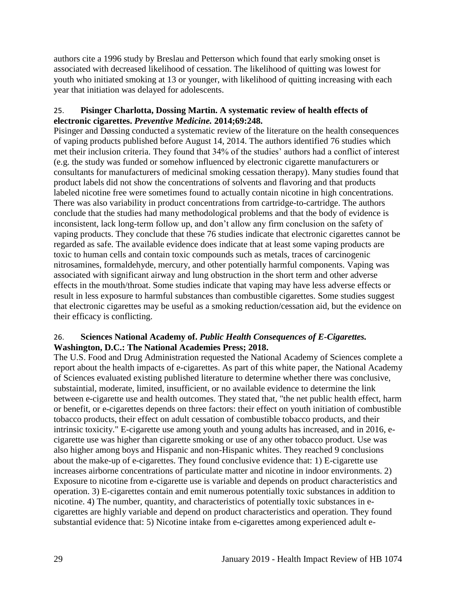authors cite a 1996 study by Breslau and Petterson which found that early smoking onset is associated with decreased likelihood of cessation. The likelihood of quitting was lowest for youth who initiated smoking at 13 or younger, with likelihood of quitting increasing with each year that initiation was delayed for adolescents.

# <span id="page-31-0"></span>25. **Pisinger Charlotta, Dossing Martin. A systematic review of health effects of electronic cigarettes.** *Preventive Medicine.* **2014;69:248.**

Pisinger and Døssing conducted a systematic review of the literature on the health consequences of vaping products published before August 14, 2014. The authors identified 76 studies which met their inclusion criteria. They found that 34% of the studies' authors had a conflict of interest (e.g. the study was funded or somehow influenced by electronic cigarette manufacturers or consultants for manufacturers of medicinal smoking cessation therapy). Many studies found that product labels did not show the concentrations of solvents and flavoring and that products labeled nicotine free were sometimes found to actually contain nicotine in high concentrations. There was also variability in product concentrations from cartridge-to-cartridge. The authors conclude that the studies had many methodological problems and that the body of evidence is inconsistent, lack long-term follow up, and don't allow any firm conclusion on the safety of vaping products. They conclude that these 76 studies indicate that electronic cigarettes cannot be regarded as safe. The available evidence does indicate that at least some vaping products are toxic to human cells and contain toxic compounds such as metals, traces of carcinogenic nitrosamines, formaldehyde, mercury, and other potentially harmful components. Vaping was associated with significant airway and lung obstruction in the short term and other adverse effects in the mouth/throat. Some studies indicate that vaping may have less adverse effects or result in less exposure to harmful substances than combustible cigarettes. Some studies suggest that electronic cigarettes may be useful as a smoking reduction/cessation aid, but the evidence on their efficacy is conflicting.

# <span id="page-31-1"></span>26. **Sciences National Academy of.** *Public Health Consequences of E-Cigarettes.* **Washington, D.C.: The National Academies Press; 2018.**

The U.S. Food and Drug Administration requested the National Academy of Sciences complete a report about the health impacts of e-cigarettes. As part of this white paper, the National Academy of Sciences evaluated existing published literature to determine whether there was conclusive, substaintial, moderate, limited, insufficient, or no available evidence to determine the link between e-cigarette use and health outcomes. They stated that, "the net public health effect, harm or benefit, or e-cigarettes depends on three factors: their effect on youth initiation of combustible tobacco products, their effect on adult cessation of combustible tobacco products, and their intrinsic toxicity." E-cigarette use among youth and young adults has increased, and in 2016, ecigarette use was higher than cigarette smoking or use of any other tobacco product. Use was also higher among boys and Hispanic and non-Hispanic whites. They reached 9 conclusions about the make-up of e-cigarettes. They found conclusive evidence that: 1) E-cigarette use increases airborne concentrations of particulate matter and nicotine in indoor environments. 2) Exposure to nicotine from e-cigarette use is variable and depends on product characteristics and operation. 3) E-cigarettes contain and emit numerous potentially toxic substances in addition to nicotine. 4) The number, quantity, and characteristics of potentially toxic substances in ecigarettes are highly variable and depend on product characteristics and operation. They found substantial evidence that: 5) Nicotine intake from e-cigarettes among experienced adult e-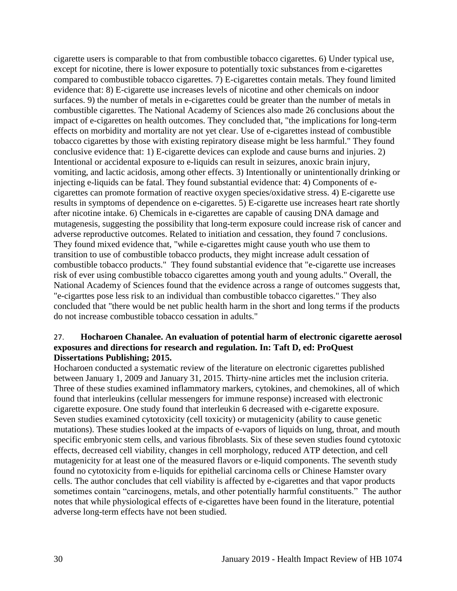cigarette users is comparable to that from combustible tobacco cigarettes. 6) Under typical use, except for nicotine, there is lower exposure to potentially toxic substances from e-cigarettes compared to combustible tobacco cigarettes. 7) E-cigarettes contain metals. They found limited evidence that: 8) E-cigarette use increases levels of nicotine and other chemicals on indoor surfaces. 9) the number of metals in e-cigarettes could be greater than the number of metals in combustible cigarettes. The National Academy of Sciences also made 26 conclusions about the impact of e-cigarettes on health outcomes. They concluded that, "the implications for long-term effects on morbidity and mortality are not yet clear. Use of e-cigarettes instead of combustible tobacco cigarettes by those with existing repiratory disease might be less harmful." They found conclusive evidence that: 1) E-cigarette devices can explode and cause burns and injuries. 2) Intentional or accidental exposure to e-liquids can result in seizures, anoxic brain injury, vomiting, and lactic acidosis, among other effects. 3) Intentionally or unintentionally drinking or injecting e-liquids can be fatal. They found substantial evidence that: 4) Components of ecigarettes can promote formation of reactive oxygen species/oxidative stress. 4) E-cigarette use results in symptoms of dependence on e-cigarettes. 5) E-cigarette use increases heart rate shortly after nicotine intake. 6) Chemicals in e-cigarettes are capable of causing DNA damage and mutagenesis, suggesting the possibility that long-term exposure could increase risk of cancer and adverse reproductive outcomes. Related to initiation and cessation, they found 7 conclusions. They found mixed evidence that, "while e-cigarettes might cause youth who use them to transition to use of combustible tobacco products, they might increase adult cessation of combustible tobacco products." They found substantial evidence that "e-cigarette use increases risk of ever using combustible tobacco cigarettes among youth and young adults." Overall, the National Academy of Sciences found that the evidence across a range of outcomes suggests that, "e-cigarttes pose less risk to an individual than combustible tobacco cigarettes." They also concluded that "there would be net public health harm in the short and long terms if the products do not increase combustible tobacco cessation in adults."

#### 27. **Hocharoen Chanalee. An evaluation of potential harm of electronic cigarette aerosol exposures and directions for research and regulation. In: Taft D, ed: ProQuest Dissertations Publishing; 2015.**

Hocharoen conducted a systematic review of the literature on electronic cigarettes published between January 1, 2009 and January 31, 2015. Thirty-nine articles met the inclusion criteria. Three of these studies examined inflammatory markers, cytokines, and chemokines, all of which found that interleukins (cellular messengers for immune response) increased with electronic cigarette exposure. One study found that interleukin 6 decreased with e-cigarette exposure. Seven studies examined cytotoxicity (cell toxicity) or mutagenicity (ability to cause genetic mutations). These studies looked at the impacts of e-vapors of liquids on lung, throat, and mouth specific embryonic stem cells, and various fibroblasts. Six of these seven studies found cytotoxic effects, decreased cell viability, changes in cell morphology, reduced ATP detection, and cell mutagenicity for at least one of the measured flavors or e-liquid components. The seventh study found no cytotoxicity from e-liquids for epithelial carcinoma cells or Chinese Hamster ovary cells. The author concludes that cell viability is affected by e-cigarettes and that vapor products sometimes contain "carcinogens, metals, and other potentially harmful constituents." The author notes that while physiological effects of e-cigarettes have been found in the literature, potential adverse long-term effects have not been studied.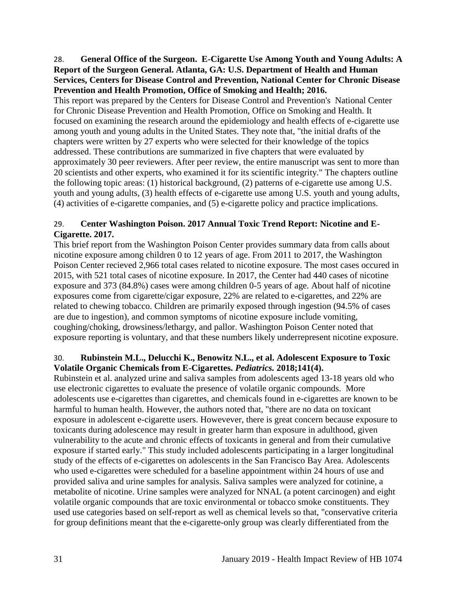<span id="page-33-0"></span>28. **General Office of the Surgeon. E-Cigarette Use Among Youth and Young Adults: A Report of the Surgeon General. Atlanta, GA: U.S. Department of Health and Human Services, Centers for Disease Control and Prevention, National Center for Chronic Disease Prevention and Health Promotion, Office of Smoking and Health; 2016.**

This report was prepared by the Centers for Disease Control and Prevention's National Center for Chronic Disease Prevention and Health Promotion, Office on Smoking and Health. It focused on examining the research around the epidemiology and health effects of e-cigarette use among youth and young adults in the United States. They note that, "the initial drafts of the chapters were written by 27 experts who were selected for their knowledge of the topics addressed. These contributions are summarized in five chapters that were evaluated by approximately 30 peer reviewers. After peer review, the entire manuscript was sent to more than 20 scientists and other experts, who examined it for its scientific integrity." The chapters outline the following topic areas: (1) historical background, (2) patterns of e-cigarette use among U.S. youth and young adults, (3) health effects of e-cigarette use among U.S. youth and young adults, (4) activities of e-cigarette companies, and (5) e-cigarette policy and practice implications.

# 29. **Center Washington Poison. 2017 Annual Toxic Trend Report: Nicotine and E-Cigarette. 2017.**

This brief report from the Washington Poison Center provides summary data from calls about nicotine exposure among children 0 to 12 years of age. From 2011 to 2017, the Washington Poison Center recieved 2,966 total cases related to nicotine exposure. The most cases occured in 2015, with 521 total cases of nicotine exposure. In 2017, the Center had 440 cases of nicotine exposure and 373 (84.8%) cases were among children 0-5 years of age. About half of nicotine exposures come from cigarette/cigar exposure, 22% are related to e-cigarettes, and 22% are related to chewing tobacco. Children are primarily exposed through ingestion (94.5% of cases are due to ingestion), and common symptoms of nicotine exposure include vomiting, coughing/choking, drowsiness/lethargy, and pallor. Washington Poison Center noted that exposure reporting is voluntary, and that these numbers likely underrepresent nicotine exposure.

## 30. **Rubinstein M.L., Delucchi K., Benowitz N.L., et al. Adolescent Exposure to Toxic Volatile Organic Chemicals from E-Cigarettes.** *Pediatrics.* **2018;141(4).**

Rubinstein et al. analyzed urine and saliva samples from adolescents aged 13-18 years old who use electronic cigarettes to evaluate the presence of volatile organic compounds. More adolescents use e-cigarettes than cigarettes, and chemicals found in e-cigarettes are known to be harmful to human health. However, the authors noted that, "there are no data on toxicant exposure in adolescent e-cigarette users. Howevever, there is great concern because exposure to toxicants during adolescence may result in greater harm than exposure in adulthood, given vulnerability to the acute and chronic effects of toxicants in general and from their cumulative exposure if started early." This study included adolescents participating in a larger longitudinal study of the effects of e-cigarettes on adolescents in the San Francisco Bay Area. Adolescents who used e-cigarettes were scheduled for a baseline appointment within 24 hours of use and provided saliva and urine samples for analysis. Saliva samples were analyzed for cotinine, a metabolite of nicotine. Urine samples were analyzed for NNAL (a potent carcinogen) and eight volatile organic compounds that are toxic environmental or tobacco smoke constituents. They used use categories based on self-report as well as chemical levels so that, "conservative criteria for group definitions meant that the e-cigarette-only group was clearly differentiated from the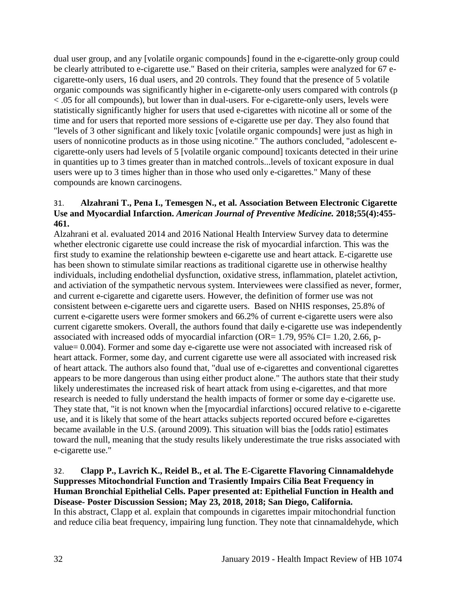dual user group, and any [volatile organic compounds] found in the e-cigarette-only group could be clearly attributed to e-cigarette use." Based on their criteria, samples were analyzed for 67 ecigarette-only users, 16 dual users, and 20 controls. They found that the presence of 5 volatile organic compounds was significantly higher in e-cigarette-only users compared with controls (p < .05 for all compounds), but lower than in dual-users. For e-cigarette-only users, levels were statistically significantly higher for users that used e-cigarettes with nicotine all or some of the time and for users that reported more sessions of e-cigarette use per day. They also found that "levels of 3 other significant and likely toxic [volatile organic compounds] were just as high in users of nonnicotine products as in those using nicotine." The authors concluded, "adolescent ecigarette-only users had levels of 5 [volatile organic compound] toxicants detected in their urine in quantities up to 3 times greater than in matched controls...levels of toxicant exposure in dual users were up to 3 times higher than in those who used only e-cigarettes." Many of these compounds are known carcinogens.

## 31. **Alzahrani T., Pena I., Temesgen N., et al. Association Between Electronic Cigarette Use and Myocardial Infarction.** *American Journal of Preventive Medicine.* **2018;55(4):455- 461.**

Alzahrani et al. evaluated 2014 and 2016 National Health Interview Survey data to determine whether electronic cigarette use could increase the risk of myocardial infarction. This was the first study to examine the relationship bewteen e-cigarette use and heart attack. E-cigarette use has been shown to stimulate similar reactions as traditional cigarette use in otherwise healthy individuals, including endothelial dysfunction, oxidative stress, inflammation, platelet activtion, and activiation of the sympathetic nervous system. Interviewees were classified as never, former, and current e-cigarette and cigarette users. However, the definition of former use was not consistent between e-cigarette uers and cigarette users. Based on NHIS responses, 25.8% of current e-cigarette users were former smokers and 66.2% of current e-cigarette users were also current cigarette smokers. Overall, the authors found that daily e-cigarette use was independently associated with increased odds of myocardial infarction (OR=  $1.79$ ,  $95\%$  CI=  $1.20$ ,  $2.66$ , pvalue= 0.004). Former and some day e-cigarette use were not associated with increased risk of heart attack. Former, some day, and current cigarette use were all associated with increased risk of heart attack. The authors also found that, "dual use of e-cigarettes and conventional cigarettes appears to be more dangerous than using either product alone." The authors state that their study likely underestimates the increased risk of heart attack from using e-cigarettes, and that more research is needed to fully understand the health impacts of former or some day e-cigarette use. They state that, "it is not known when the [myocardial infarctions] occured relative to e-cigarette use, and it is likely that some of the heart attacks subjects reported occured before e-cigarettes became available in the U.S. (around 2009). This situation will bias the [odds ratio] estimates toward the null, meaning that the study results likely underestimate the true risks associated with e-cigarette use."

## <span id="page-34-0"></span>32. **Clapp P., Lavrich K., Reidel B., et al. The E-Cigarette Flavoring Cinnamaldehyde Suppresses Mitochondrial Function and Trasiently Impairs Cilia Beat Frequency in Human Bronchial Epithelial Cells. Paper presented at: Epithelial Function in Health and Disease- Poster Discussion Session; May 23, 2018, 2018; San Diego, California.** In this abstract, Clapp et al. explain that compounds in cigarettes impair mitochondrial function and reduce cilia beat frequency, impairing lung function. They note that cinnamaldehyde, which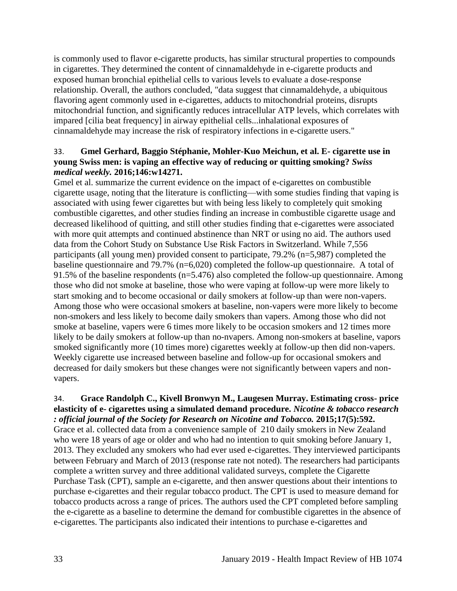is commonly used to flavor e-cigarette products, has similar structural properties to compounds in cigarettes. They determined the content of cinnamaldehyde in e-cigarette products and exposed human bronchial epithelial cells to various levels to evaluate a dose-response relationship. Overall, the authors concluded, "data suggest that cinnamaldehyde, a ubiquitous flavoring agent commonly used in e-cigarettes, adducts to mitochondrial proteins, disrupts mitochondrial function, and significantly reduces intracellular ATP levels, which correlates with impared [cilia beat frequency] in airway epithelial cells...inhalational exposures of cinnamaldehyde may increase the risk of respiratory infections in e-cigarette users."

# <span id="page-35-0"></span>33. **Gmel Gerhard, Baggio Stéphanie, Mohler-Kuo Meichun, et al. E- cigarette use in young Swiss men: is vaping an effective way of reducing or quitting smoking?** *Swiss medical weekly.* **2016;146:w14271.**

Gmel et al. summarize the current evidence on the impact of e-cigarettes on combustible cigarette usage, noting that the literature is conflicting—with some studies finding that vaping is associated with using fewer cigarettes but with being less likely to completely quit smoking combustible cigarettes, and other studies finding an increase in combustible cigarette usage and decreased likelihood of quitting, and still other studies finding that e-cigarettes were associated with more quit attempts and continued abstinence than NRT or using no aid. The authors used data from the Cohort Study on Substance Use Risk Factors in Switzerland. While 7,556 participants (all young men) provided consent to participate, 79.2% (n=5,987) completed the baseline questionnaire and 79.7% (n=6,020) completed the follow-up questionnaire. A total of 91.5% of the baseline respondents (n=5.476) also completed the follow-up questionnaire. Among those who did not smoke at baseline, those who were vaping at follow-up were more likely to start smoking and to become occasional or daily smokers at follow-up than were non-vapers. Among those who were occasional smokers at baseline, non-vapers were more likely to become non-smokers and less likely to become daily smokers than vapers. Among those who did not smoke at baseline, vapers were 6 times more likely to be occasion smokers and 12 times more likely to be daily smokers at follow-up than no-nvapers. Among non-smokers at baseline, vapors smoked significantly more (10 times more) cigarettes weekly at follow-up then did non-vapers. Weekly cigarette use increased between baseline and follow-up for occasional smokers and decreased for daily smokers but these changes were not significantly between vapers and nonvapers.

# 34. **Grace Randolph C., Kivell Bronwyn M., Laugesen Murray. Estimating cross- price elasticity of e- cigarettes using a simulated demand procedure.** *Nicotine & tobacco research : official journal of the Society for Research on Nicotine and Tobacco.* **2015;17(5):592.**

Grace et al. collected data from a convenience sample of 210 daily smokers in New Zealand who were 18 years of age or older and who had no intention to quit smoking before January 1, 2013. They excluded any smokers who had ever used e-cigarettes. They interviewed participants between February and March of 2013 (response rate not noted). The researchers had participants complete a written survey and three additional validated surveys, complete the Cigarette Purchase Task (CPT), sample an e-cigarette, and then answer questions about their intentions to purchase e-cigarettes and their regular tobacco product. The CPT is used to measure demand for tobacco products across a range of prices. The authors used the CPT completed before sampling the e-cigarette as a baseline to determine the demand for combustible cigarettes in the absence of e-cigarettes. The participants also indicated their intentions to purchase e-cigarettes and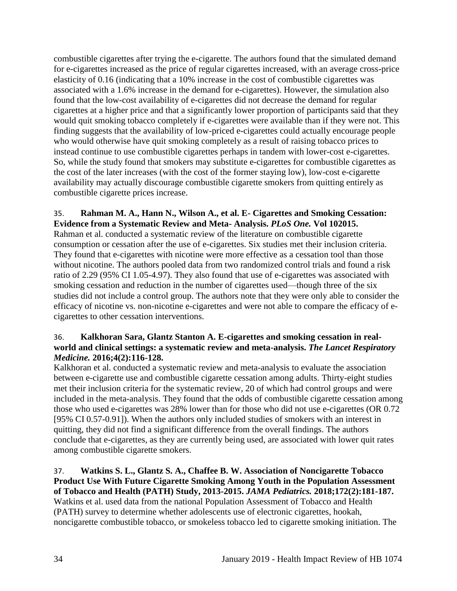combustible cigarettes after trying the e-cigarette. The authors found that the simulated demand for e-cigarettes increased as the price of regular cigarettes increased, with an average cross-price elasticity of 0.16 (indicating that a 10% increase in the cost of combustible cigarettes was associated with a 1.6% increase in the demand for e-cigarettes). However, the simulation also found that the low-cost availability of e-cigarettes did not decrease the demand for regular cigarettes at a higher price and that a significantly lower proportion of participants said that they would quit smoking tobacco completely if e-cigarettes were available than if they were not. This finding suggests that the availability of low-priced e-cigarettes could actually encourage people who would otherwise have quit smoking completely as a result of raising tobacco prices to instead continue to use combustible cigarettes perhaps in tandem with lower-cost e-cigarettes. So, while the study found that smokers may substitute e-cigarettes for combustible cigarettes as the cost of the later increases (with the cost of the former staying low), low-cost e-cigarette availability may actually discourage combustible cigarette smokers from quitting entirely as combustible cigarette prices increase.

# 35. **Rahman M. A., Hann N., Wilson A., et al. E- Cigarettes and Smoking Cessation: Evidence from a Systematic Review and Meta- Analysis.** *PLoS One.* **Vol 102015.**

Rahman et al. conducted a systematic review of the literature on combustible cigarette consumption or cessation after the use of e-cigarettes. Six studies met their inclusion criteria. They found that e-cigarettes with nicotine were more effective as a cessation tool than those without nicotine. The authors pooled data from two randomized control trials and found a risk ratio of 2.29 (95% CI 1.05-4.97). They also found that use of e-cigarettes was associated with smoking cessation and reduction in the number of cigarettes used—though three of the six studies did not include a control group. The authors note that they were only able to consider the efficacy of nicotine vs. non-nicotine e-cigarettes and were not able to compare the efficacy of ecigarettes to other cessation interventions.

## 36. **Kalkhoran Sara, Glantz Stanton A. E-cigarettes and smoking cessation in realworld and clinical settings: a systematic review and meta-analysis.** *The Lancet Respiratory Medicine.* **2016;4(2):116-128.**

Kalkhoran et al. conducted a systematic review and meta-analysis to evaluate the association between e-cigarette use and combustible cigarette cessation among adults. Thirty-eight studies met their inclusion criteria for the systematic review, 20 of which had control groups and were included in the meta-analysis. They found that the odds of combustible cigarette cessation among those who used e-cigarettes was 28% lower than for those who did not use e-cigarettes (OR 0.72 [95% CI 0.57-0.91]). When the authors only included studies of smokers with an interest in quitting, they did not find a significant difference from the overall findings. The authors conclude that e-cigarettes, as they are currently being used, are associated with lower quit rates among combustible cigarette smokers.

<span id="page-36-0"></span>37. **Watkins S. L., Glantz S. A., Chaffee B. W. Association of Noncigarette Tobacco Product Use With Future Cigarette Smoking Among Youth in the Population Assessment of Tobacco and Health (PATH) Study, 2013-2015.** *JAMA Pediatrics.* **2018;172(2):181-187.** Watkins et al. used data from the national Population Assessment of Tobacco and Health (PATH) survey to determine whether adolescents use of electronic cigarettes, hookah, noncigarette combustible tobacco, or smokeless tobacco led to cigarette smoking initiation. The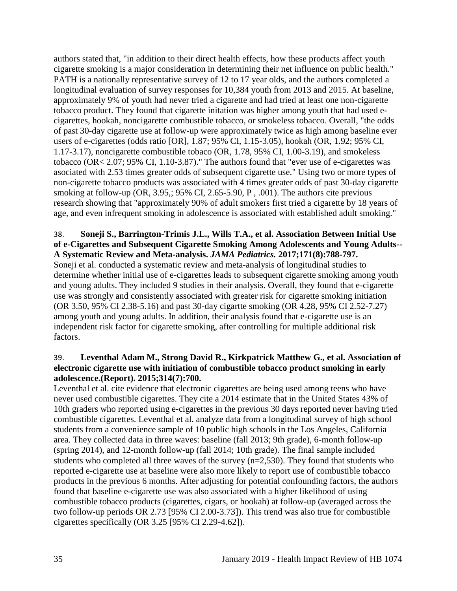authors stated that, "in addition to their direct health effects, how these products affect youth cigarette smoking is a major consideration in determining their net influence on public health." PATH is a nationally representative survey of 12 to 17 year olds, and the authors completed a longitudinal evaluation of survey responses for 10,384 youth from 2013 and 2015. At baseline, approximately 9% of youth had never tried a cigarette and had tried at least one non-cigarette tobacco product. They found that cigarette initation was higher among youth that had used ecigarettes, hookah, noncigarette combustible tobacco, or smokeless tobacco. Overall, "the odds of past 30-day cigarette use at follow-up were approximately twice as high among baseline ever users of e-cigarettes (odds ratio [OR], 1.87; 95% CI, 1.15-3.05), hookah (OR, 1.92; 95% CI, 1.17-3.17), noncigarette combustible tobaco (OR, 1.78, 95% CI, 1.00-3.19), and smokeless tobacco (OR< 2.07; 95% CI, 1.10-3.87)." The authors found that "ever use of e-cigarettes was asociated with 2.53 times greater odds of subsequent cigarette use." Using two or more types of non-cigarette tobacco products was associated with 4 times greater odds of past 30-day cigarette smoking at follow-up (OR, 3.95,; 95% CI, 2.65-5.90, P, .001). The authors cite previous research showing that "approximately 90% of adult smokers first tried a cigarette by 18 years of age, and even infrequent smoking in adolescence is associated with established adult smoking."

## <span id="page-37-0"></span>38. **Soneji S., Barrington-Trimis J.L., Wills T.A., et al. Association Between Initial Use of e-Cigarettes and Subsequent Cigarette Smoking Among Adolescents and Young Adults-- A Systematic Review and Meta-analysis.** *JAMA Pediatrics.* **2017;171(8):788-797.**

Soneji et al. conducted a systematic review and meta-analysis of longitudinal studies to determine whether initial use of e-cigarettes leads to subsequent cigarette smoking among youth and young adults. They included 9 studies in their analysis. Overall, they found that e-cigarette use was strongly and consistently associated with greater risk for cigarette smoking initiation (OR 3.50, 95% CI 2.38-5.16) and past 30-day cigartte smoking (OR 4.28, 95% CI 2.52-7.27) among youth and young adults. In addition, their analysis found that e-cigarette use is an independent risk factor for cigarette smoking, after controlling for multiple additional risk factors.

## <span id="page-37-1"></span>39. **Leventhal Adam M., Strong David R., Kirkpatrick Matthew G., et al. Association of electronic cigarette use with initiation of combustible tobacco product smoking in early adolescence.(Report). 2015;314(7):700.**

Leventhal et al. cite evidence that electronic cigarettes are being used among teens who have never used combustible cigarettes. They cite a 2014 estimate that in the United States 43% of 10th graders who reported using e-cigarettes in the previous 30 days reported never having tried combustible cigarettes. Leventhal et al. analyze data from a longitudinal survey of high school students from a convenience sample of 10 public high schools in the Los Angeles, California area. They collected data in three waves: baseline (fall 2013; 9th grade), 6-month follow-up (spring 2014), and 12-month follow-up (fall 2014; 10th grade). The final sample included students who completed all three waves of the survey (n=2,530). They found that students who reported e-cigarette use at baseline were also more likely to report use of combustible tobacco products in the previous 6 months. After adjusting for potential confounding factors, the authors found that baseline e-cigarette use was also associated with a higher likelihood of using combustible tobacco products (cigarettes, cigars, or hookah) at follow-up (averaged across the two follow-up periods OR 2.73 [95% CI 2.00-3.73]). This trend was also true for combustible cigarettes specifically (OR 3.25 [95% CI 2.29-4.62]).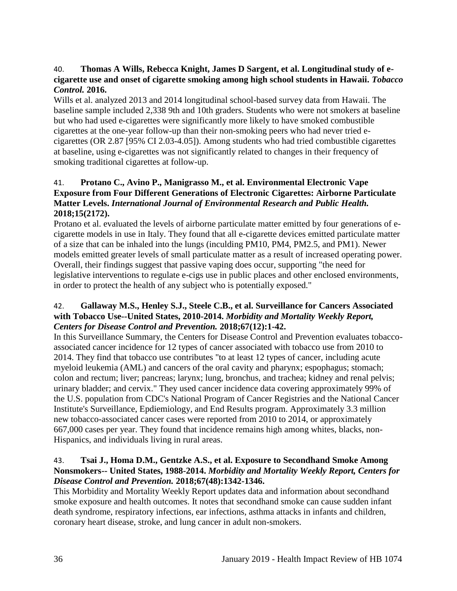## <span id="page-38-3"></span>40. **Thomas A Wills, Rebecca Knight, James D Sargent, et al. Longitudinal study of ecigarette use and onset of cigarette smoking among high school students in Hawaii.** *Tobacco Control.* **2016.**

Wills et al. analyzed 2013 and 2014 longitudinal school-based survey data from Hawaii. The baseline sample included 2,338 9th and 10th graders. Students who were not smokers at baseline but who had used e-cigarettes were significantly more likely to have smoked combustible cigarettes at the one-year follow-up than their non-smoking peers who had never tried ecigarettes (OR 2.87 [95% CI 2.03-4.05]). Among students who had tried combustible cigarettes at baseline, using e-cigarettes was not significantly related to changes in their frequency of smoking traditional cigarettes at follow-up.

# <span id="page-38-2"></span>41. **Protano C., Avino P., Manigrasso M., et al. Environmental Electronic Vape Exposure from Four Different Generations of Electronic Cigarettes: Airborne Particulate Matter Levels.** *International Journal of Environmental Research and Public Health.*  **2018;15(2172).**

Protano et al. evaluated the levels of airborne particulate matter emitted by four generations of ecigarette models in use in Italy. They found that all e-cigarette devices emitted particulate matter of a size that can be inhaled into the lungs (inculding PM10, PM4, PM2.5, and PM1). Newer models emitted greater levels of small particulate matter as a result of increased operating power. Overall, their findings suggest that passive vaping does occur, supporting "the need for legislative interventions to regulate e-cigs use in public places and other enclosed environments, in order to protect the health of any subject who is potentially exposed."

## <span id="page-38-0"></span>42. **Gallaway M.S., Henley S.J., Steele C.B., et al. Surveillance for Cancers Associated with Tobacco Use--United States, 2010-2014.** *Morbidity and Mortality Weekly Report, Centers for Disease Control and Prevention.* **2018;67(12):1-42.**

In this Surveillance Summary, the Centers for Disease Control and Prevention evaluates tobaccoassociated cancer incidence for 12 types of cancer associated with tobacco use from 2010 to 2014. They find that tobacco use contributes "to at least 12 types of cancer, including acute myeloid leukemia (AML) and cancers of the oral cavity and pharynx; espophagus; stomach; colon and rectum; liver; pancreas; larynx; lung, bronchus, and trachea; kidney and renal pelvis; urinary bladder; and cervix." They used cancer incidence data covering approximately 99% of the U.S. population from CDC's National Program of Cancer Registries and the National Cancer Institute's Surveillance, Epdiemiology, and End Results program. Approximately 3.3 million new tobacco-associated cancer cases were reported from 2010 to 2014, or approximately 667,000 cases per year. They found that incidence remains high among whites, blacks, non-Hispanics, and individuals living in rural areas.

## <span id="page-38-1"></span>43. **Tsai J., Homa D.M., Gentzke A.S., et al. Exposure to Secondhand Smoke Among Nonsmokers-- United States, 1988-2014.** *Morbidity and Mortality Weekly Report, Centers for Disease Control and Prevention.* **2018;67(48):1342-1346.**

This Morbidity and Mortality Weekly Report updates data and information about secondhand smoke exposure and health outcomes. It notes that secondhand smoke can cause sudden infant death syndrome, respiratory infections, ear infections, asthma attacks in infants and children, coronary heart disease, stroke, and lung cancer in adult non-smokers.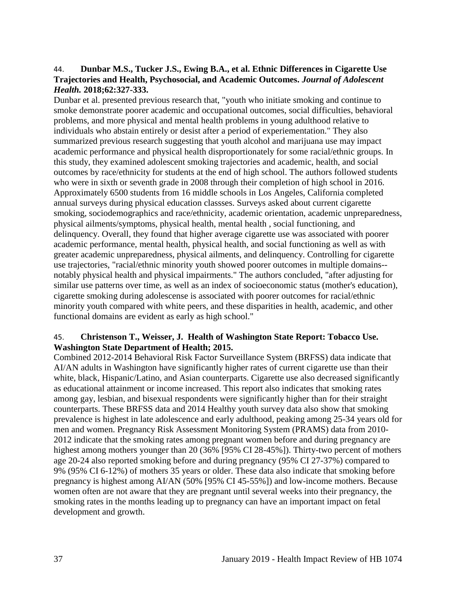#### 44. **Dunbar M.S., Tucker J.S., Ewing B.A., et al. Ethnic Differences in Cigarette Use Trajectories and Health, Psychosocial, and Academic Outcomes.** *Journal of Adolescent Health.* **2018;62:327-333.**

Dunbar et al. presented previous research that, "youth who initiate smoking and continue to smoke demonstrate poorer academic and occupational outcomes, social difficulties, behavioral problems, and more physical and mental health problems in young adulthood relative to individuals who abstain entirely or desist after a period of experiementation." They also summarized previous research suggesting that youth alcohol and marijuana use may impact academic performance and physical health disproportionately for some racial/ethnic groups. In this study, they examined adolescent smoking trajectories and academic, health, and social outcomes by race/ethnicity for students at the end of high school. The authors followed students who were in sixth or seventh grade in 2008 through their completion of high school in 2016. Approximately 6500 students from 16 middle schools in Los Angeles, California completed annual surveys during physical education classses. Surveys asked about current cigarette smoking, sociodemographics and race/ethnicity, academic orientation, academic unpreparedness, physical ailments/symptoms, physical health, mental health , social functioning, and delinquency. Overall, they found that higher average cigarette use was associated with poorer academic performance, mental health, physical health, and social functioning as well as with greater academic unpreparedness, physical ailments, and delinquency. Controlling for cigarette use trajectories, "racial/ethnic minority youth showed poorer outcomes in multiple domains- notably physical health and physical impairments." The authors concluded, "after adjusting for similar use patterns over time, as well as an index of socioeconomic status (mother's education), cigarette smoking during adolescense is associated with poorer outcomes for racial/ethnic minority youth compared with white peers, and these disparities in health, academic, and other functional domains are evident as early as high school."

## 45. **Christenson T., Weisser, J. Health of Washington State Report: Tobacco Use. Washington State Department of Health; 2015.**

Combined 2012-2014 Behavioral Risk Factor Surveillance System (BRFSS) data indicate that AI/AN adults in Washington have significantly higher rates of current cigarette use than their white, black, Hispanic/Latino, and Asian counterparts. Cigarette use also decreased significantly as educational attainment or income increased. This report also indicates that smoking rates among gay, lesbian, and bisexual respondents were significantly higher than for their straight counterparts. These BRFSS data and 2014 Healthy youth survey data also show that smoking prevalence is highest in late adolescence and early adulthood, peaking among 25-34 years old for men and women. Pregnancy Risk Assessment Monitoring System (PRAMS) data from 2010- 2012 indicate that the smoking rates among pregnant women before and during pregnancy are highest among mothers younger than 20 (36% [95% CI 28-45%]). Thirty-two percent of mothers age 20-24 also reported smoking before and during pregnancy (95% CI 27-37%) compared to 9% (95% CI 6-12%) of mothers 35 years or older. These data also indicate that smoking before pregnancy is highest among AI/AN (50% [95% CI 45-55%]) and low-income mothers. Because women often are not aware that they are pregnant until several weeks into their pregnancy, the smoking rates in the months leading up to pregnancy can have an important impact on fetal development and growth.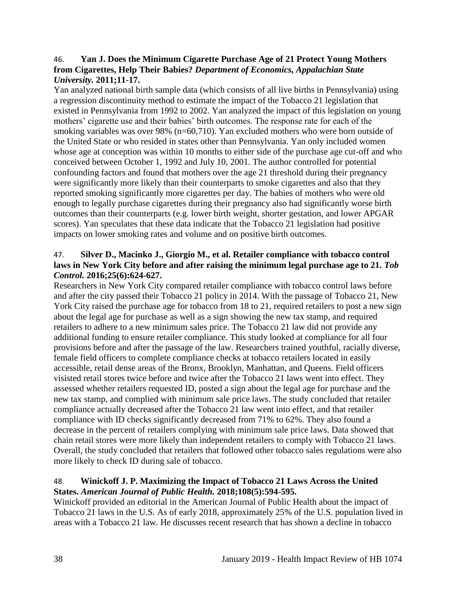#### 46. **Yan J. Does the Minimum Cigarette Purchase Age of 21 Protect Young Mothers from Cigarettes, Help Their Babies?** *Department of Economics, Appalachian State University.* **2011;11-17.**

Yan analyzed national birth sample data (which consists of all live births in Pennsylvania) using a regression discontinuity method to estimate the impact of the Tobacco 21 legislation that existed in Pennsylvania from 1992 to 2002. Yan analyzed the impact of this legislation on young mothers' cigarette use and their babies' birth outcomes. The response rate for each of the smoking variables was over 98% (n=60,710). Yan excluded mothers who were born outside of the United State or who resided in states other than Pennsylvania. Yan only included women whose age at conception was within 10 months to either side of the purchase age cut-off and who conceived between October 1, 1992 and July 10, 2001. The author controlled for potential confounding factors and found that mothers over the age 21 threshold during their pregnancy were significantly more likely than their counterparts to smoke cigarettes and also that they reported smoking significantly more cigarettes per day. The babies of mothers who were old enough to legally purchase cigarettes during their pregnancy also had significantly worse birth outcomes than their counterparts (e.g. lower birth weight, shorter gestation, and lower APGAR scores). Yan speculates that these data indicate that the Tobacco 21 legislation had positive impacts on lower smoking rates and volume and on positive birth outcomes.

# <span id="page-40-0"></span>47. **Silver D., Macinko J., Giorgio M., et al. Retailer compliance with tobacco control**  laws in New York City before and after raising the minimum legal purchase age to 21. Tob *Control.* **2016;25(6):624-627.**

Researchers in New York City compared retailer compliance with tobacco control laws before and after the city passed their Tobacco 21 policy in 2014. With the passage of Tobacco 21, New York City raised the purchase age for tobacco from 18 to 21, required retailers to post a new sign about the legal age for purchase as well as a sign showing the new tax stamp, and required retailers to adhere to a new minimum sales price. The Tobacco 21 law did not provide any additional funding to ensure retailer compliance. This study looked at compliance for all four provisions before and after the passage of the law. Researchers trained youthful, racially diverse, female field officers to complete compliance checks at tobacco retailers located in easily accessible, retail dense areas of the Bronx, Brooklyn, Manhattan, and Queens. Field officers visisted retail stores twice before and twice after the Tobacco 21 laws went into effect. They assessed whether retailers requested ID, posted a sign about the legal age for purchase and the new tax stamp, and complied with minimum sale price laws. The study concluded that retailer compliance actually decreased after the Tobacco 21 law went into effect, and that retailer compliance with ID checks significantly decreased from 71% to 62%. They also found a decrease in the percent of retailers complying with minimum sale price laws. Data showed that chain retail stores were more likely than independent retailers to comply with Tobacco 21 laws. Overall, the study concluded that retailers that followed other tobacco sales regulations were also more likely to check ID during sale of tobacco.

## <span id="page-40-1"></span>48. **Winickoff J. P. Maximizing the Impact of Tobacco 21 Laws Across the United States.** *American Journal of Public Health.* **2018;108(5):594-595.**

Winickoff provided an editorial in the American Journal of Public Health about the impact of Tobacco 21 laws in the U.S. As of early 2018, approximately 25% of the U.S. population lived in areas with a Tobacco 21 law. He discusses recent research that has shown a decline in tobacco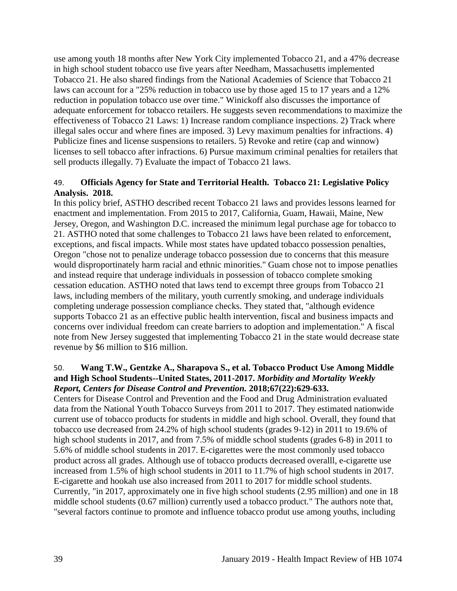use among youth 18 months after New York City implemented Tobacco 21, and a 47% decrease in high school student tobacco use five years after Needham, Massachusetts implemented Tobacco 21. He also shared findings from the National Academies of Science that Tobacco 21 laws can account for a "25% reduction in tobacco use by those aged 15 to 17 years and a 12% reduction in population tobacco use over time." Winickoff also discusses the importance of adequate enforcement for tobacco retailers. He suggests seven recommendations to maximize the effectiveness of Tobacco 21 Laws: 1) Increase random compliance inspections. 2) Track where illegal sales occur and where fines are imposed. 3) Levy maximum penalties for infractions. 4) Publicize fines and license suspensions to retailers. 5) Revoke and retire (cap and winnow) licenses to sell tobacco after infractions. 6) Pursue maximum criminal penalties for retailers that sell products illegally. 7) Evaluate the impact of Tobacco 21 laws.

#### 49. **Officials Agency for State and Territorial Health. Tobacco 21: Legislative Policy Analysis. 2018.**

In this policy brief, ASTHO described recent Tobacco 21 laws and provides lessons learned for enactment and implementation. From 2015 to 2017, California, Guam, Hawaii, Maine, New Jersey, Oregon, and Washington D.C. increased the minimum legal purchase age for tobacco to 21. ASTHO noted that some challenges to Tobacco 21 laws have been related to enforcement, exceptions, and fiscal impacts. While most states have updated tobacco possession penalties, Oregon "chose not to penalize underage tobacco possession due to concerns that this measure would disproportinately harm racial and ethnic minorities." Guam chose not to impose penatlies and instead require that underage individuals in possession of tobacco complete smoking cessation education. ASTHO noted that laws tend to excempt three groups from Tobacco 21 laws, including members of the military, youth currently smoking, and underage individuals completing underage possession compliance checks. They stated that, "although evidence supports Tobacco 21 as an effective public health intervention, fiscal and business impacts and concerns over individual freedom can create barriers to adoption and implementation." A fiscal note from New Jersey suggested that implementing Tobacco 21 in the state would decrease state revenue by \$6 million to \$16 million.

#### <span id="page-41-0"></span>50. **Wang T.W., Gentzke A., Sharapova S., et al. Tobacco Product Use Among Middle and High School Students--United States, 2011-2017.** *Morbidity and Mortality Weekly Report, Centers for Disease Control and Prevention.* **2018;67(22):629-633.**

Centers for Disease Control and Prevention and the Food and Drug Administration evaluated data from the National Youth Tobacco Surveys from 2011 to 2017. They estimated nationwide current use of tobacco products for students in middle and high school. Overall, they found that tobacco use decreased from 24.2% of high school students (grades 9-12) in 2011 to 19.6% of high school students in 2017, and from 7.5% of middle school students (grades 6-8) in 2011 to 5.6% of middle school students in 2017. E-cigarettes were the most commonly used tobacco product across all grades. Although use of tobacco products decreased overalll, e-cigarette use increased from 1.5% of high school students in 2011 to 11.7% of high school students in 2017. E-cigarette and hookah use also increased from 2011 to 2017 for middle school students. Currently, "in 2017, approximately one in five high school students (2.95 million) and one in 18 middle school students (0.67 million) currently used a tobacco product." The authors note that, "several factors continue to promote and influence tobacco produt use among youths, including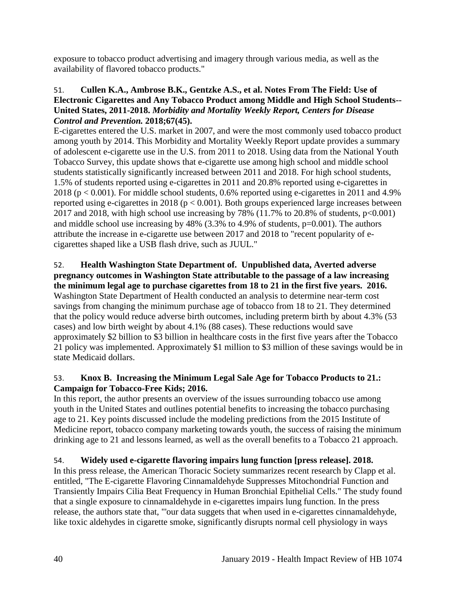exposure to tobacco product advertising and imagery through various media, as well as the availability of flavored tobacco products."

# <span id="page-42-0"></span>51. **Cullen K.A., Ambrose B.K., Gentzke A.S., et al. Notes From The Field: Use of Electronic Cigarettes and Any Tobacco Product among Middle and High School Students-- United States, 2011-2018.** *Morbidity and Mortality Weekly Report, Centers for Disease Control and Prevention.* **2018;67(45).**

E-cigarettes entered the U.S. market in 2007, and were the most commonly used tobacco product among youth by 2014. This Morbidity and Mortality Weekly Report update provides a summary of adolescent e-cigarette use in the U.S. from 2011 to 2018. Using data from the National Youth Tobacco Survey, this update shows that e-cigarette use among high school and middle school students statistically significantly increased between 2011 and 2018. For high school students, 1.5% of students reported using e-cigarettes in 2011 and 20.8% reported using e-cigarettes in 2018 ( $p < 0.001$ ). For middle school students, 0.6% reported using e-cigarettes in 2011 and 4.9% reported using e-cigarettes in 2018 ( $p < 0.001$ ). Both groups experienced large increases between 2017 and 2018, with high school use increasing by 78% (11.7% to 20.8% of students,  $p<0.001$ ) and middle school use increasing by  $48\%$  (3.3% to 4.9% of students, p=0.001). The authors attribute the increase in e-cigarette use between 2017 and 2018 to "recent popularity of ecigarettes shaped like a USB flash drive, such as JUUL."

# 52. **Health Washington State Department of. Unpublished data, Averted adverse pregnancy outcomes in Washington State attributable to the passage of a law increasing**

**the minimum legal age to purchase cigarettes from 18 to 21 in the first five years. 2016.** Washington State Department of Health conducted an analysis to determine near-term cost savings from changing the minimum purchase age of tobacco from 18 to 21. They determined that the policy would reduce adverse birth outcomes, including preterm birth by about 4.3% (53 cases) and low birth weight by about 4.1% (88 cases). These reductions would save approximately \$2 billion to \$3 billion in healthcare costs in the first five years after the Tobacco 21 policy was implemented. Approximately \$1 million to \$3 million of these savings would be in state Medicaid dollars.

# 53. **Knox B. Increasing the Minimum Legal Sale Age for Tobacco Products to 21.: Campaign for Tobacco-Free Kids; 2016.**

In this report, the author presents an overview of the issues surrounding tobacco use among youth in the United States and outlines potential benefits to increasing the tobacco purchasing age to 21. Key points discussed include the modeling predictions from the 2015 Institute of Medicine report, tobacco company marketing towards youth, the success of raising the minimum drinking age to 21 and lessons learned, as well as the overall benefits to a Tobacco 21 approach.

# <span id="page-42-1"></span>54. **Widely used e-cigarette flavoring impairs lung function [press release]. 2018.**

In this press release, the American Thoracic Society summarizes recent research by Clapp et al. entitled, "The E-cigarette Flavoring Cinnamaldehyde Suppresses Mitochondrial Function and Transiently Impairs Cilia Beat Frequency in Human Bronchial Epithelial Cells." The study found that a single exposure to cinnamaldehyde in e-cigarettes impairs lung function. In the press release, the authors state that, "'our data suggets that when used in e-cigarettes cinnamaldehyde, like toxic aldehydes in cigarette smoke, significantly disrupts normal cell physiology in ways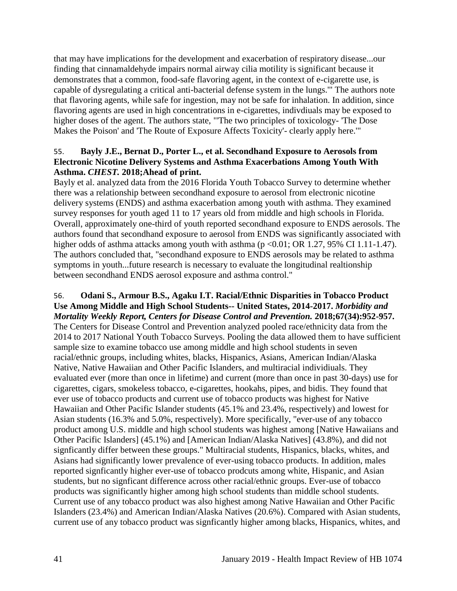that may have implications for the development and exacerbation of respiratory disease...our finding that cinnamaldehyde impairs normal airway cilia motility is significant because it demonstrates that a common, food-safe flavoring agent, in the context of e-cigarette use, is capable of dysregulating a critical anti-bacterial defense system in the lungs.'" The authors note that flavoring agents, while safe for ingestion, may not be safe for inhalation. In addition, since flavoring agents are used in high concentrations in e-cigarettes, indivdiuals may be exposed to higher doses of the agent. The authors state, "'The two principles of toxicology- 'The Dose Makes the Poison' and 'The Route of Exposure Affects Toxicity'- clearly apply here.'"

## <span id="page-43-0"></span>55. **Bayly J.E., Bernat D., Porter L., et al. Secondhand Exposure to Aerosols from Electronic Nicotine Delivery Systems and Asthma Exacerbations Among Youth With Asthma.** *CHEST.* **2018;Ahead of print.**

Bayly et al. analyzed data from the 2016 Florida Youth Tobacco Survey to determine whether there was a relationship between secondhand exposure to aerosol from electronic nicotine delivery systems (ENDS) and asthma exacerbation among youth with asthma. They examined survey responses for youth aged 11 to 17 years old from middle and high schools in Florida. Overall, approximately one-third of youth reported secondhand exposure to ENDS aerosols. The authors found that secondhand exposure to aerosol from ENDS was significantly associated with higher odds of asthma attacks among youth with asthma  $(p < 0.01$ ; OR 1.27, 95% CI 1.11-1.47). The authors concluded that, "secondhand exposure to ENDS aerosols may be related to asthma symptoms in youth...future research is necessary to evaluate the longitudinal realtionship between secondhand ENDS aerosol exposure and asthma control."

#### 56. **Odani S., Armour B.S., Agaku I.T. Racial/Ethnic Disparities in Tobacco Product Use Among Middle and High School Students-- United States, 2014-2017.** *Morbidity and Mortality Weekly Report, Centers for Disease Control and Prevention.* **2018;67(34):952-957.**

The Centers for Disease Control and Prevention analyzed pooled race/ethnicity data from the 2014 to 2017 National Youth Tobacco Surveys. Pooling the data allowed them to have sufficient sample size to examine tobacco use among middle and high school students in seven racial/ethnic groups, including whites, blacks, Hispanics, Asians, American Indian/Alaska Native, Native Hawaiian and Other Pacific Islanders, and multiracial individiuals. They evaluated ever (more than once in lifetime) and current (more than once in past 30-days) use for cigarettes, cigars, smokeless tobacco, e-cigarettes, hookahs, pipes, and bidis. They found that ever use of tobacco products and current use of tobacco products was highest for Native Hawaiian and Other Pacific Islander students (45.1% and 23.4%, respectively) and lowest for Asian students (16.3% and 5.0%, respectively). More specifically, "ever-use of any tobacco product among U.S. middle and high school students was highest among [Native Hawaiians and Other Pacific Islanders] (45.1%) and [American Indian/Alaska Natives] (43.8%), and did not signficantly differ between these groups." Multiracial students, Hispanics, blacks, whites, and Asians had significantly lower prevalence of ever-using tobacco products. In addition, males reported signficantly higher ever-use of tobacco prodcuts among white, Hispanic, and Asian students, but no signficant difference across other racial/ethnic groups. Ever-use of tobacco products was significantly higher among high school students than middle school students. Current use of any tobacco product was also highest among Native Hawaiian and Other Pacific Islanders (23.4%) and American Indian/Alaska Natives (20.6%). Compared with Asian students, current use of any tobacco product was signficantly higher among blacks, Hispanics, whites, and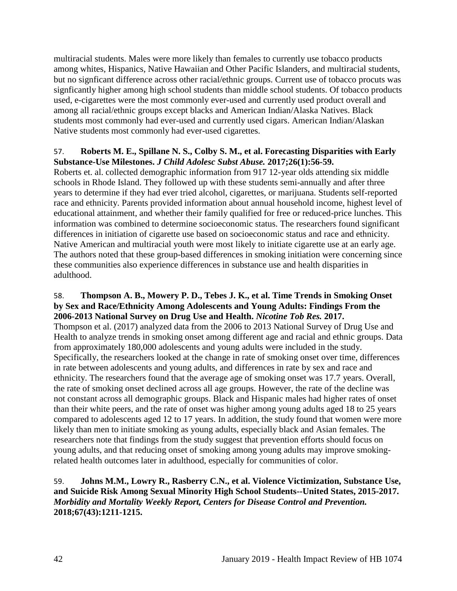multiracial students. Males were more likely than females to currently use tobacco products among whites, Hispanics, Native Hawaiian and Other Pacific Islanders, and multiracial students, but no signficant difference across other racial/ethnic groups. Current use of tobacco procuts was signficantly higher among high school students than middle school students. Of tobacco products used, e-cigarettes were the most commonly ever-used and currently used product overall and among all racial/ethnic groups except blacks and American Indian/Alaska Natives. Black students most commonly had ever-used and currently used cigars. American Indian/Alaskan Native students most commonly had ever-used cigarettes.

#### 57. **Roberts M. E., Spillane N. S., Colby S. M., et al. Forecasting Disparities with Early Substance-Use Milestones.** *J Child Adolesc Subst Abuse.* **2017;26(1):56-59.**

Roberts et. al. collected demographic information from 917 12-year olds attending six middle schools in Rhode Island. They followed up with these students semi-annually and after three years to determine if they had ever tried alcohol, cigarettes, or marijuana. Students self-reported race and ethnicity. Parents provided information about annual household income, highest level of educational attainment, and whether their family qualified for free or reduced-price lunches. This information was combined to determine socioeconomic status. The researchers found significant differences in initiation of cigarette use based on socioeconomic status and race and ethnicity. Native American and multiracial youth were most likely to initiate cigarette use at an early age. The authors noted that these group-based differences in smoking initiation were concerning since these communities also experience differences in substance use and health disparities in adulthood.

#### 58. **Thompson A. B., Mowery P. D., Tebes J. K., et al. Time Trends in Smoking Onset by Sex and Race/Ethnicity Among Adolescents and Young Adults: Findings From the 2006-2013 National Survey on Drug Use and Health.** *Nicotine Tob Res.* **2017.**

Thompson et al. (2017) analyzed data from the 2006 to 2013 National Survey of Drug Use and Health to analyze trends in smoking onset among different age and racial and ethnic groups. Data from approximately 180,000 adolescents and young adults were included in the study. Specifically, the researchers looked at the change in rate of smoking onset over time, differences in rate between adolescents and young adults, and differences in rate by sex and race and ethnicity. The researchers found that the average age of smoking onset was 17.7 years. Overall, the rate of smoking onset declined across all age groups. However, the rate of the decline was not constant across all demographic groups. Black and Hispanic males had higher rates of onset than their white peers, and the rate of onset was higher among young adults aged 18 to 25 years compared to adolescents aged 12 to 17 years. In addition, the study found that women were more likely than men to initiate smoking as young adults, especially black and Asian females. The researchers note that findings from the study suggest that prevention efforts should focus on young adults, and that reducing onset of smoking among young adults may improve smokingrelated health outcomes later in adulthood, especially for communities of color.

## 59. **Johns M.M., Lowry R., Rasberry C.N., et al. Violence Victimization, Substance Use, and Suicide Risk Among Sexual Minority High School Students--United States, 2015-2017.**  *Morbidity and Mortality Weekly Report, Centers for Disease Control and Prevention.*  **2018;67(43):1211-1215.**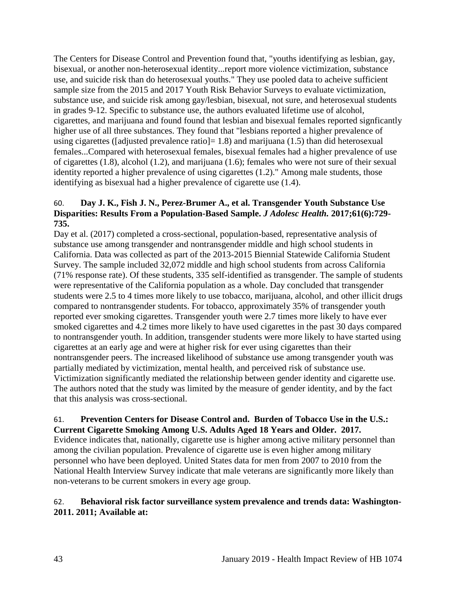The Centers for Disease Control and Prevention found that, "youths identifying as lesbian, gay, bisexual, or another non-heterosexual identity...report more violence victimization, substance use, and suicide risk than do heterosexual youths." They use pooled data to acheive sufficient sample size from the 2015 and 2017 Youth Risk Behavior Surveys to evaluate victimization, substance use, and suicide risk among gay/lesbian, bisexual, not sure, and heterosexual students in grades 9-12. Specific to substance use, the authors evaluated lifetime use of alcohol, cigarettes, and marijuana and found found that lesbian and bisexual females reported signficantly higher use of all three substances. They found that "lesbians reported a higher prevalence of using cigarettes ([adjusted prevalence ratio] = 1.8) and marijuana (1.5) than did heterosexual females...Compared with heterosexual females, bisexual females had a higher prevalence of use of cigarettes (1.8), alcohol (1.2), and marijuana (1.6); females who were not sure of their sexual identity reported a higher prevalence of using cigarettes (1.2)." Among male students, those identifying as bisexual had a higher prevalence of cigarette use (1.4).

## 60. **Day J. K., Fish J. N., Perez-Brumer A., et al. Transgender Youth Substance Use Disparities: Results From a Population-Based Sample.** *J Adolesc Health.* **2017;61(6):729- 735.**

Day et al. (2017) completed a cross-sectional, population-based, representative analysis of substance use among transgender and nontransgender middle and high school students in California. Data was collected as part of the 2013-2015 Biennial Statewide California Student Survey. The sample included 32,072 middle and high school students from across California (71% response rate). Of these students, 335 self-identified as transgender. The sample of students were representative of the California population as a whole. Day concluded that transgender students were 2.5 to 4 times more likely to use tobacco, marijuana, alcohol, and other illicit drugs compared to nontransgender students. For tobacco, approximately 35% of transgender youth reported ever smoking cigarettes. Transgender youth were 2.7 times more likely to have ever smoked cigarettes and 4.2 times more likely to have used cigarettes in the past 30 days compared to nontransgender youth. In addition, transgender students were more likely to have started using cigarettes at an early age and were at higher risk for ever using cigarettes than their nontransgender peers. The increased likelihood of substance use among transgender youth was partially mediated by victimization, mental health, and perceived risk of substance use. Victimization significantly mediated the relationship between gender identity and cigarette use. The authors noted that the study was limited by the measure of gender identity, and by the fact that this analysis was cross-sectional.

#### 61. **Prevention Centers for Disease Control and. Burden of Tobacco Use in the U.S.: Current Cigarette Smoking Among U.S. Adults Aged 18 Years and Older. 2017.**

Evidence indicates that, nationally, cigarette use is higher among active military personnel than among the civilian population. Prevalence of cigarette use is even higher among military personnel who have been deployed. United States data for men from 2007 to 2010 from the National Health Interview Survey indicate that male veterans are significantly more likely than non-veterans to be current smokers in every age group.

# <span id="page-45-0"></span>62. **Behavioral risk factor surveillance system prevalence and trends data: Washington-2011. 2011; Available at:**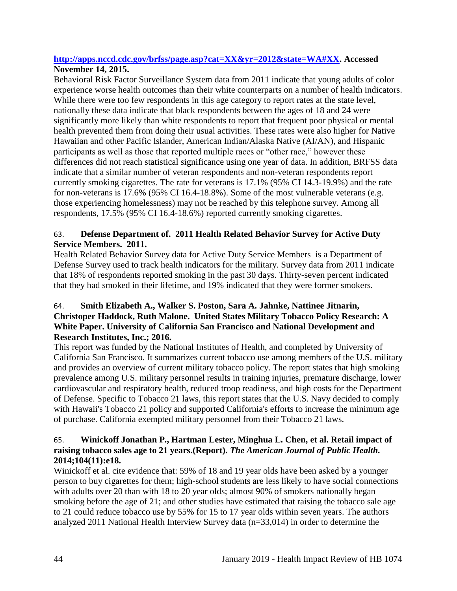## **[http://apps.nccd.cdc.gov/brfss/page.asp?cat=XX&yr=2012&state=WA#XX.](http://apps.nccd.cdc.gov/brfss/page.asp?cat=XX&yr=2012&state=WA#XX) Accessed November 14, 2015.**

Behavioral Risk Factor Surveillance System data from 2011 indicate that young adults of color experience worse health outcomes than their white counterparts on a number of health indicators. While there were too few respondents in this age category to report rates at the state level, nationally these data indicate that black respondents between the ages of 18 and 24 were significantly more likely than white respondents to report that frequent poor physical or mental health prevented them from doing their usual activities. These rates were also higher for Native Hawaiian and other Pacific Islander, American Indian/Alaska Native (AI/AN), and Hispanic participants as well as those that reported multiple races or "other race," however these differences did not reach statistical significance using one year of data. In addition, BRFSS data indicate that a similar number of veteran respondents and non-veteran respondents report currently smoking cigarettes. The rate for veterans is 17.1% (95% CI 14.3-19.9%) and the rate for non-veterans is 17.6% (95% CI 16.4-18.8%). Some of the most vulnerable veterans (e.g. those experiencing homelessness) may not be reached by this telephone survey. Among all respondents, 17.5% (95% CI 16.4-18.6%) reported currently smoking cigarettes.

# <span id="page-46-0"></span>63. **Defense Department of. 2011 Health Related Behavior Survey for Active Duty Service Members. 2011.**

Health Related Behavior Survey data for Active Duty Service Members is a Department of Defense Survey used to track health indicators for the military. Survey data from 2011 indicate that 18% of respondents reported smoking in the past 30 days. Thirty-seven percent indicated that they had smoked in their lifetime, and 19% indicated that they were former smokers.

# 64. **Smith Elizabeth A., Walker S. Poston, Sara A. Jahnke, Nattinee Jitnarin, Christoper Haddock, Ruth Malone. United States Military Tobacco Policy Research: A White Paper. University of California San Francisco and National Development and Research Institutes, Inc.; 2016.**

This report was funded by the National Institutes of Health, and completed by University of California San Francisco. It summarizes current tobacco use among members of the U.S. military and provides an overview of current military tobacco policy. The report states that high smoking prevalence among U.S. military personnel results in training injuries, premature discharge, lower cardiovascular and respiratory health, reduced troop readiness, and high costs for the Department of Defense. Specific to Tobacco 21 laws, this report states that the U.S. Navy decided to comply with Hawaii's Tobacco 21 policy and supported California's efforts to increase the minimum age of purchase. California exempted military personnel from their Tobacco 21 laws.

# 65. **Winickoff Jonathan P., Hartman Lester, Minghua L. Chen, et al. Retail impact of raising tobacco sales age to 21 years.(Report).** *The American Journal of Public Health.*  **2014;104(11):e18.**

Winickoff et al. cite evidence that: 59% of 18 and 19 year olds have been asked by a younger person to buy cigarettes for them; high-school students are less likely to have social connections with adults over 20 than with 18 to 20 year olds; almost 90% of smokers nationally began smoking before the age of 21; and other studies have estimated that raising the tobacco sale age to 21 could reduce tobacco use by 55% for 15 to 17 year olds within seven years. The authors analyzed 2011 National Health Interview Survey data (n=33,014) in order to determine the